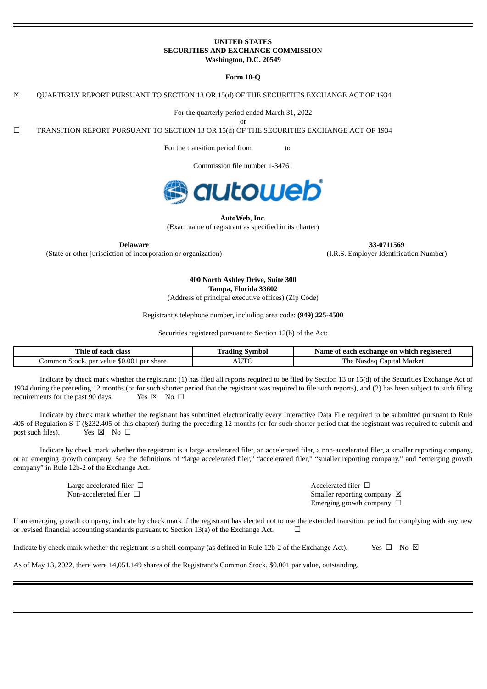### **UNITED STATES SECURITIES AND EXCHANGE COMMISSION Washington, D.C. 20549**

### **Form 10-Q**

### ☒ QUARTERLY REPORT PURSUANT TO SECTION 13 OR 15(d) OF THE SECURITIES EXCHANGE ACT OF 1934

For the quarterly period ended March 31, 2022 or

☐ TRANSITION REPORT PURSUANT TO SECTION 13 OR 15(d) OF THE SECURITIES EXCHANGE ACT OF 1934

For the transition period from to

Commission file number 1-34761



**AutoWeb, Inc.**

(Exact name of registrant as specified in its charter)

(State or other jurisdiction of incorporation or organization) (I.R.S. Employer Identification Number)

**Delaware 33-0711569**

**400 North Ashley Drive, Suite 300 Tampa, Florida 33602** (Address of principal executive offices) (Zip Code)

Registrant's telephone number, including area code: **(949) 225-4500**

Securities registered pursuant to Section 12(b) of the Act:

| --<br>class<br>eacr<br>- ot<br>ntle                               | tradıng<br>svmbol | ı exchange on which-<br>registered ×<br>-Name<br>each.<br>0Ť |  |  |  |
|-------------------------------------------------------------------|-------------------|--------------------------------------------------------------|--|--|--|
| $\sim$<br><sup>.</sup> share<br>par value<br>per<br>этос<br>30.00 | AUTO              | The<br>Markei<br>lanıtal<br>Nasdac                           |  |  |  |

Indicate by check mark whether the registrant: (1) has filed all reports required to be filed by Section 13 or 15(d) of the Securities Exchange Act of 1934 during the preceding 12 months (or for such shorter period that the registrant was required to file such reports), and (2) has been subject to such filing requirements for the past 90 days. Yes  $\boxtimes$  No  $\Box$ 

Indicate by check mark whether the registrant has submitted electronically every Interactive Data File required to be submitted pursuant to Rule 405 of Regulation S-T (§232.405 of this chapter) during the preceding 12 months (or for such shorter period that the registrant was required to submit and post such files). Yes  $\boxtimes$  No  $\square$ 

Indicate by check mark whether the registrant is a large accelerated filer, an accelerated filer, a non-accelerated filer, a smaller reporting company, or an emerging growth company. See the definitions of "large accelerated filer," "accelerated filer," "smaller reporting company," and "emerging growth company" in Rule 12b-2 of the Exchange Act.

Large accelerated filer <del>□</del> accelerated filer □

Non-accelerated filer  $\Box$ Emerging growth company  $\Box$ 

If an emerging growth company, indicate by check mark if the registrant has elected not to use the extended transition period for complying with any new or revised financial accounting standards pursuant to Section 13(a) of the Exchange Act.  $\Box$ 

Indicate by check mark whether the registrant is a shell company (as defined in Rule 12b-2 of the Exchange Act). Yes  $\Box$  No  $\boxtimes$ 

As of May 13, 2022, there were 14,051,149 shares of the Registrant's Common Stock, \$0.001 par value, outstanding.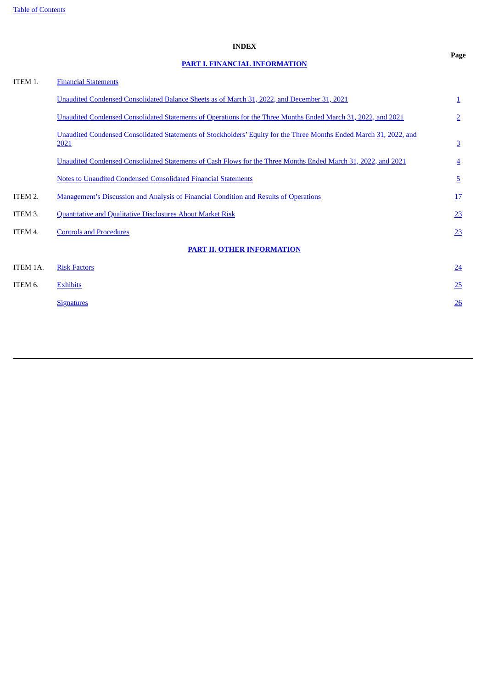# **INDEX**

# **PART I. FINANCIAL [INFORMATION](#page-2-0)**

<span id="page-1-0"></span>

| ITEM 1.  | <b>Financial Statements</b>                                                                                                |                |
|----------|----------------------------------------------------------------------------------------------------------------------------|----------------|
|          | Unaudited Condensed Consolidated Balance Sheets as of March 31, 2022, and December 31, 2021                                | $\overline{1}$ |
|          | Unaudited Condensed Consolidated Statements of Operations for the Three Months Ended March 31, 2022, and 2021              | $\overline{2}$ |
|          | Unaudited Condensed Consolidated Statements of Stockholders' Equity for the Three Months Ended March 31, 2022, and<br>2021 | $\overline{3}$ |
|          | Unaudited Condensed Consolidated Statements of Cash Flows for the Three Months Ended March 31, 2022, and 2021              | $\overline{4}$ |
|          | <b>Notes to Unaudited Condensed Consolidated Financial Statements</b>                                                      | $\overline{5}$ |
| ITEM 2.  | <b>Management's Discussion and Analysis of Financial Condition and Results of Operations</b>                               | 17             |
| ITEM 3.  | <b>Quantitative and Qualitative Disclosures About Market Risk</b>                                                          | 23             |
| ITEM 4.  | <b>Controls and Procedures</b>                                                                                             | 23             |
|          | <b>PART II. OTHER INFORMATION</b>                                                                                          |                |
| ITEM 1A. | <b>Risk Factors</b>                                                                                                        | 24             |
| ITEM 6.  | <b>Exhibits</b>                                                                                                            | 25             |
|          | <b>Signatures</b>                                                                                                          | 26             |
|          |                                                                                                                            |                |

# **Page**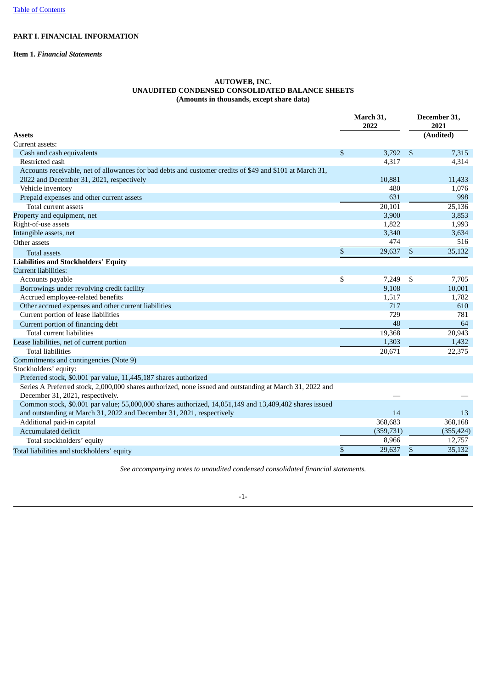# <span id="page-2-0"></span>**PART I. FINANCIAL INFORMATION**

# **Item 1.** *Financial Statements*

## **AUTOWEB, INC. UNAUDITED CONDENSED CONSOLIDATED BALANCE SHEETS (Amounts in thousands, except share data)**

|                                                                                                          |    | March 31,<br>2022 |              | December 31,<br>2021 |  |  |
|----------------------------------------------------------------------------------------------------------|----|-------------------|--------------|----------------------|--|--|
| <b>Assets</b>                                                                                            |    |                   |              | (Audited)            |  |  |
| Current assets:                                                                                          |    |                   |              |                      |  |  |
| Cash and cash equivalents                                                                                | \$ | 3,792             | \$           | 7,315                |  |  |
| Restricted cash                                                                                          |    | 4,317             |              | 4,314                |  |  |
| Accounts receivable, net of allowances for bad debts and customer credits of \$49 and \$101 at March 31, |    |                   |              |                      |  |  |
| 2022 and December 31, 2021, respectively                                                                 |    | 10,881            |              | 11,433               |  |  |
| Vehicle inventory                                                                                        |    | 480               |              | 1,076                |  |  |
| Prepaid expenses and other current assets                                                                |    | 631               |              | 998                  |  |  |
| Total current assets                                                                                     |    | 20,101            |              | 25,136               |  |  |
| Property and equipment, net                                                                              |    | 3,900             |              | 3,853                |  |  |
| Right-of-use assets                                                                                      |    | 1,822             |              | 1,993                |  |  |
| Intangible assets, net                                                                                   |    | 3,340             |              | 3,634                |  |  |
| Other assets                                                                                             |    | 474               |              | 516                  |  |  |
| <b>Total assets</b>                                                                                      | \$ | 29,637            | $\mathbb{S}$ | 35,132               |  |  |
| <b>Liabilities and Stockholders' Equity</b>                                                              |    |                   |              |                      |  |  |
| <b>Current liabilities:</b>                                                                              |    |                   |              |                      |  |  |
| Accounts payable                                                                                         | \$ | 7,249             | \$           | 7,705                |  |  |
| Borrowings under revolving credit facility                                                               |    | 9.108             |              | 10,001               |  |  |
| Accrued employee-related benefits                                                                        |    | 1,517             |              | 1,782                |  |  |
| Other accrued expenses and other current liabilities                                                     |    | 717               |              | 610                  |  |  |
| Current portion of lease liabilities                                                                     |    | 729               |              | 781                  |  |  |
| Current portion of financing debt                                                                        |    | 48                |              | 64                   |  |  |
| Total current liabilities                                                                                |    | 19,368            |              | 20,943               |  |  |
| Lease liabilities, net of current portion                                                                |    | 1,303             |              | 1,432                |  |  |
| <b>Total liabilities</b>                                                                                 |    | 20,671            |              | 22,375               |  |  |
| Commitments and contingencies (Note 9)                                                                   |    |                   |              |                      |  |  |
| Stockholders' equity:                                                                                    |    |                   |              |                      |  |  |
| Preferred stock, \$0.001 par value, 11,445,187 shares authorized                                         |    |                   |              |                      |  |  |
| Series A Preferred stock, 2,000,000 shares authorized, none issued and outstanding at March 31, 2022 and |    |                   |              |                      |  |  |
| December 31, 2021, respectively.                                                                         |    |                   |              |                      |  |  |
| Common stock, \$0.001 par value; 55,000,000 shares authorized, 14,051,149 and 13,489,482 shares issued   |    |                   |              |                      |  |  |
| and outstanding at March 31, 2022 and December 31, 2021, respectively                                    |    | 14                |              | 13                   |  |  |
| Additional paid-in capital                                                                               |    | 368,683           |              | 368,168              |  |  |
| Accumulated deficit                                                                                      |    | (359, 731)        |              | (355, 424)           |  |  |
| Total stockholders' equity                                                                               |    | 8,966             |              | 12,757               |  |  |
| Total liabilities and stockholders' equity                                                               | \$ | 29,637            | \$           | 35,132               |  |  |

*See accompanying notes to unaudited condensed consolidated financial statements.*

## -1-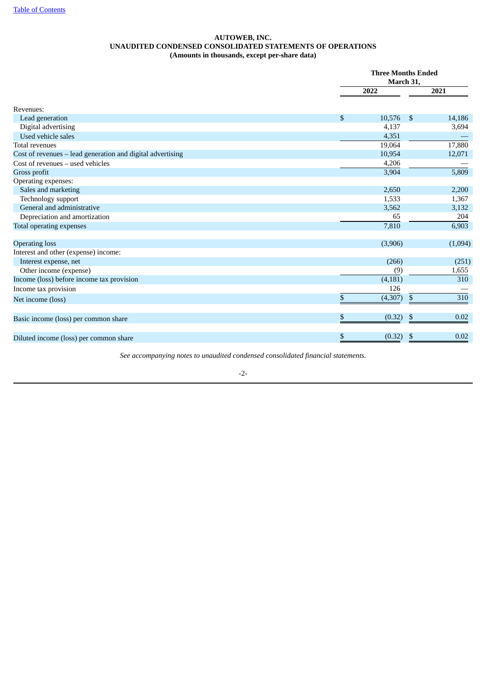## **AUTOWEB, INC. UNAUDITED CONDENSED CONSOLIDATED STATEMENTS OF OPERATIONS (Amounts in thousands, except per-share data)**

<span id="page-3-0"></span>

|                                                            |              | <b>Three Months Ended</b><br>March 31, |              |                  |  |
|------------------------------------------------------------|--------------|----------------------------------------|--------------|------------------|--|
|                                                            |              | 2022                                   |              | 2021             |  |
| Revenues:                                                  |              |                                        |              |                  |  |
| Lead generation                                            | $\mathbb{S}$ | 10,576                                 | \$           | 14,186           |  |
| Digital advertising                                        |              | 4,137                                  |              | 3,694            |  |
| Used vehicle sales                                         |              | 4,351                                  |              |                  |  |
| <b>Total revenues</b>                                      |              | 19,064                                 |              | 17,880           |  |
| Cost of revenues – lead generation and digital advertising |              | 10,954                                 |              | 12,071           |  |
| Cost of revenues - used vehicles                           |              | 4,206                                  |              |                  |  |
| Gross profit                                               |              | 3,904                                  |              | 5,809            |  |
| Operating expenses:                                        |              |                                        |              |                  |  |
| Sales and marketing                                        |              | 2,650                                  |              | 2,200            |  |
| Technology support                                         |              | 1,533                                  |              | 1,367            |  |
| General and administrative                                 |              | 3,562                                  |              | 3,132            |  |
| Depreciation and amortization                              |              | 65                                     |              | 204              |  |
| Total operating expenses                                   |              | 7,810                                  |              | 6,903            |  |
| <b>Operating loss</b>                                      |              | (3,906)                                |              | (1,094)          |  |
| Interest and other (expense) income:                       |              |                                        |              |                  |  |
| Interest expense, net                                      |              | (266)                                  |              | (251)            |  |
| Other income (expense)                                     |              | (9)                                    |              | 1,655            |  |
| Income (loss) before income tax provision                  |              | (4, 181)                               |              | 310              |  |
| Income tax provision                                       |              | 126                                    |              |                  |  |
| Net income (loss)                                          | \$           | (4,307)                                | $\mathbb{S}$ | $\overline{310}$ |  |
| Basic income (loss) per common share                       | \$           | (0.32)                                 | \$           | 0.02             |  |
| Diluted income (loss) per common share                     | \$           | (0.32)                                 | \$           | 0.02             |  |
|                                                            |              |                                        |              |                  |  |

*See accompanying notes to unaudited condensed consolidated financial statements.*

-2-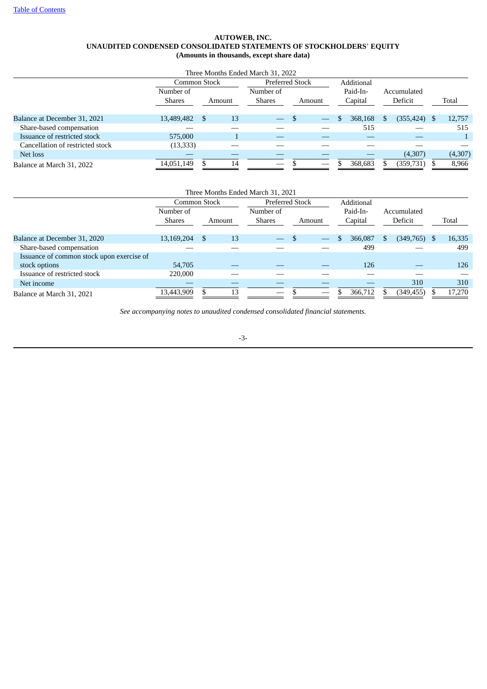## **AUTOWEB, INC. UNAUDITED CONDENSED CONSOLIDATED STATEMENTS OF STOCKHOLDERS**' **EQUITY (Amounts in thousands, except share data)**

<span id="page-4-0"></span>

| Three Months Ended March 31, 2022 |                                        |         |                               |                               |                          |                      |         |  |  |
|-----------------------------------|----------------------------------------|---------|-------------------------------|-------------------------------|--------------------------|----------------------|---------|--|--|
|                                   | <b>Preferred Stock</b><br>Common Stock |         |                               | Additional                    |                          |                      |         |  |  |
|                                   | Number of                              |         | Number of                     |                               | Paid-In-                 | Accumulated          |         |  |  |
|                                   | <b>Shares</b>                          | Amount  | <b>Shares</b>                 | Amount                        | Capital                  | Deficit              | Total   |  |  |
| Balance at December 31, 2021      | 13,489,482                             | 13<br>S | $\overbrace{\phantom{12332}}$ | -S<br>$\hspace{0.05cm}$       | 368,168<br><sup>\$</sup> | $(355, 424)$ \$<br>S | 12,757  |  |  |
| Share-based compensation          |                                        |         |                               |                               | 515                      |                      | 515     |  |  |
| Issuance of restricted stock      | 575,000                                |         |                               |                               |                          |                      |         |  |  |
| Cancellation of restricted stock  | (13, 333)                              |         |                               |                               |                          |                      |         |  |  |
| Net loss                          |                                        |         |                               |                               |                          | (4,307)              | (4,307) |  |  |
| Balance at March 31, 2022         | 14,051,149                             | 14      |                               | $\overbrace{\phantom{12332}}$ | 368,683                  | (359, 731)           | 8,966   |  |  |

| Three Months Ended March 31, 2021         |                                 |   |        |            |  |        |     |          |    |                |        |
|-------------------------------------------|---------------------------------|---|--------|------------|--|--------|-----|----------|----|----------------|--------|
|                                           | Preferred Stock<br>Common Stock |   |        | Additional |  |        |     |          |    |                |        |
|                                           | Number of                       |   |        | Number of  |  |        |     | Paid-In- |    | Accumulated    |        |
|                                           | Shares                          |   | Amount | Shares     |  | Amount |     | Capital  |    | Deficit        | Total  |
|                                           |                                 |   |        |            |  |        |     |          |    |                |        |
| Balance at December 31, 2020              | 13,169,204                      | S | 13     |            |  |        | \$. | 366,087  | -S | $(349,765)$ \$ | 16,335 |
| Share-based compensation                  |                                 |   |        |            |  |        |     | 499      |    |                | 499    |
| Issuance of common stock upon exercise of |                                 |   |        |            |  |        |     |          |    |                |        |
| stock options                             | 54,705                          |   |        |            |  |        |     | 126      |    |                | 126    |
| Issuance of restricted stock              | 220,000                         |   |        |            |  |        |     |          |    |                |        |
| Net income                                |                                 |   |        |            |  |        |     |          |    | 310            | 310    |
| Balance at March 31, 2021                 | 13,443,909                      |   | 13     |            |  |        |     | 366,712  |    | (349, 455)     | 17,270 |

*See accompanying notes to unaudited condensed consolidated financial statements.*

## -3-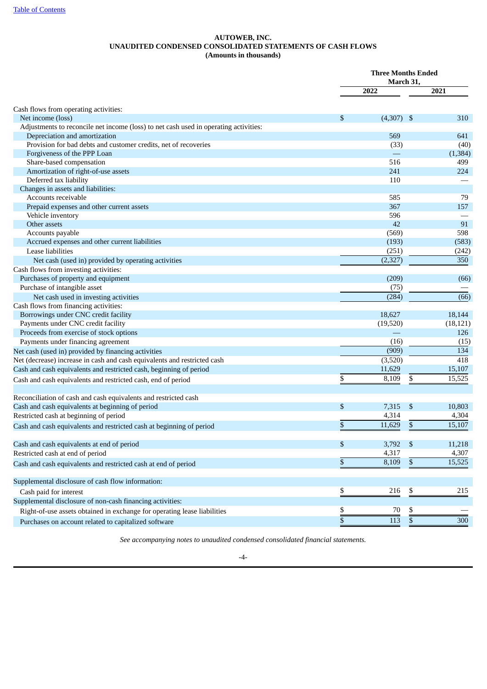## **AUTOWEB, INC. UNAUDITED CONDENSED CONSOLIDATED STATEMENTS OF CASH FLOWS (Amounts in thousands)**

<span id="page-5-0"></span>

|                                                                                      |      | <b>Three Months Ended</b><br>March 31, |                 |           |  |
|--------------------------------------------------------------------------------------|------|----------------------------------------|-----------------|-----------|--|
|                                                                                      |      | 2022                                   |                 | 2021      |  |
| Cash flows from operating activities:                                                |      |                                        |                 |           |  |
| Net income (loss)                                                                    | \$   | $(4,307)$ \$                           |                 | 310       |  |
| Adjustments to reconcile net income (loss) to net cash used in operating activities: |      |                                        |                 |           |  |
| Depreciation and amortization                                                        |      | 569                                    |                 | 641       |  |
| Provision for bad debts and customer credits, net of recoveries                      |      | (33)                                   |                 | (40)      |  |
| Forgiveness of the PPP Loan                                                          |      |                                        |                 | (1, 384)  |  |
| Share-based compensation                                                             |      | 516                                    |                 | 499       |  |
| Amortization of right-of-use assets                                                  |      | 241                                    |                 | 224       |  |
| Deferred tax liability                                                               |      | 110                                    |                 |           |  |
| Changes in assets and liabilities:                                                   |      |                                        |                 |           |  |
| Accounts receivable                                                                  |      | 585                                    |                 | 79        |  |
| Prepaid expenses and other current assets                                            |      | 367                                    |                 | 157       |  |
| Vehicle inventory                                                                    |      | 596                                    |                 |           |  |
| Other assets                                                                         |      | 42                                     |                 | 91        |  |
| Accounts payable                                                                     |      | (569)                                  |                 | 598       |  |
| Accrued expenses and other current liabilities                                       |      | (193)                                  |                 | (583)     |  |
| Lease liabilities                                                                    |      | (251)                                  |                 | (242)     |  |
| Net cash (used in) provided by operating activities                                  |      | (2, 327)                               |                 | 350       |  |
| Cash flows from investing activities:                                                |      |                                        |                 |           |  |
| Purchases of property and equipment                                                  |      | (209)                                  |                 | (66)      |  |
| Purchase of intangible asset                                                         |      | (75)                                   |                 |           |  |
| Net cash used in investing activities                                                |      | (284)                                  |                 | (66)      |  |
| Cash flows from financing activities:                                                |      |                                        |                 |           |  |
| Borrowings under CNC credit facility                                                 |      | 18,627                                 |                 | 18,144    |  |
| Payments under CNC credit facility                                                   |      | (19,520)                               |                 | (18, 121) |  |
| Proceeds from exercise of stock options                                              |      |                                        |                 | 126       |  |
| Payments under financing agreement                                                   |      | (16)                                   |                 | (15)      |  |
| Net cash (used in) provided by financing activities                                  |      | (909)                                  |                 | 134       |  |
| Net (decrease) increase in cash and cash equivalents and restricted cash             |      | (3,520)                                |                 | 418       |  |
| Cash and cash equivalents and restricted cash, beginning of period                   |      | 11,629                                 |                 | 15,107    |  |
| Cash and cash equivalents and restricted cash, end of period                         | \$   | 8,109                                  | \$              | 15,525    |  |
|                                                                                      |      |                                        |                 |           |  |
| Reconciliation of cash and cash equivalents and restricted cash                      |      |                                        |                 |           |  |
| Cash and cash equivalents at beginning of period                                     | \$   | 7,315                                  | \$              | 10,803    |  |
| Restricted cash at beginning of period                                               |      | 4,314                                  |                 | 4,304     |  |
|                                                                                      | \$   | 11,629                                 |                 | 15,107    |  |
| Cash and cash equivalents and restricted cash at beginning of period                 |      |                                        | \$              |           |  |
| Cash and cash equivalents at end of period                                           | $\$$ | 3,792                                  | $\mathbb S$     | 11,218    |  |
| Restricted cash at end of period                                                     |      | 4,317                                  |                 | 4,307     |  |
| Cash and cash equivalents and restricted cash at end of period                       | \$   | 8,109                                  | $\,$            | 15,525    |  |
| Supplemental disclosure of cash flow information:                                    |      |                                        |                 |           |  |
| Cash paid for interest                                                               | \$   | 216                                    | \$              | 215       |  |
| Supplemental disclosure of non-cash financing activities:                            |      |                                        |                 |           |  |
|                                                                                      | \$   | 70                                     | \$              |           |  |
| Right-of-use assets obtained in exchange for operating lease liabilities             |      |                                        | $\overline{\$}$ |           |  |
| Purchases on account related to capitalized software                                 | \$   | 113                                    |                 | 300       |  |

*See accompanying notes to unaudited condensed consolidated financial statements.*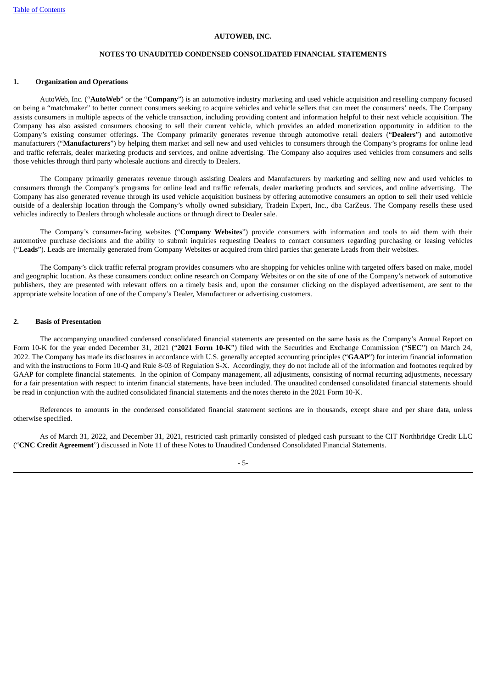#### **AUTOWEB, INC.**

## **NOTES TO UNAUDITED CONDENSED CONSOLIDATED FINANCIAL STATEMENTS**

#### <span id="page-6-0"></span>**1. Organization and Operations**

AutoWeb, Inc. ("**AutoWeb**" or the "**Company**") is an automotive industry marketing and used vehicle acquisition and reselling company focused on being a "matchmaker" to better connect consumers seeking to acquire vehicles and vehicle sellers that can meet the consumers' needs. The Company assists consumers in multiple aspects of the vehicle transaction, including providing content and information helpful to their next vehicle acquisition. The Company has also assisted consumers choosing to sell their current vehicle, which provides an added monetization opportunity in addition to the Company's existing consumer offerings. The Company primarily generates revenue through automotive retail dealers ("**Dealers**") and automotive manufacturers ("**Manufacturers**") by helping them market and sell new and used vehicles to consumers through the Company's programs for online lead and traffic referrals, dealer marketing products and services, and online advertising. The Company also acquires used vehicles from consumers and sells those vehicles through third party wholesale auctions and directly to Dealers.

The Company primarily generates revenue through assisting Dealers and Manufacturers by marketing and selling new and used vehicles to consumers through the Company's programs for online lead and traffic referrals, dealer marketing products and services, and online advertising. The Company has also generated revenue through its used vehicle acquisition business by offering automotive consumers an option to sell their used vehicle outside of a dealership location through the Company's wholly owned subsidiary, Tradein Expert, Inc., dba CarZeus. The Company resells these used vehicles indirectly to Dealers through wholesale auctions or through direct to Dealer sale.

The Company's consumer-facing websites ("**Company Websites**") provide consumers with information and tools to aid them with their automotive purchase decisions and the ability to submit inquiries requesting Dealers to contact consumers regarding purchasing or leasing vehicles ("**Leads**"). Leads are internally generated from Company Websites or acquired from third parties that generate Leads from their websites.

The Company's click traffic referral program provides consumers who are shopping for vehicles online with targeted offers based on make, model and geographic location. As these consumers conduct online research on Company Websites or on the site of one of the Company's network of automotive publishers, they are presented with relevant offers on a timely basis and, upon the consumer clicking on the displayed advertisement, are sent to the appropriate website location of one of the Company's Dealer, Manufacturer or advertising customers.

#### **2. Basis of Presentation**

The accompanying unaudited condensed consolidated financial statements are presented on the same basis as the Company's Annual Report on Form 10-K for the year ended December 31, 2021 ("**2021 Form 10-K**") filed with the Securities and Exchange Commission ("**SEC**") on March 24, 2022. The Company has made its disclosures in accordance with U.S. generally accepted accounting principles ("**GAAP**") for interim financial information and with the instructions to Form 10-Q and Rule 8-03 of Regulation S-X. Accordingly, they do not include all of the information and footnotes required by GAAP for complete financial statements. In the opinion of Company management, all adjustments, consisting of normal recurring adjustments, necessary for a fair presentation with respect to interim financial statements, have been included. The unaudited condensed consolidated financial statements should be read in conjunction with the audited consolidated financial statements and the notes thereto in the 2021 Form 10-K.

References to amounts in the condensed consolidated financial statement sections are in thousands, except share and per share data, unless otherwise specified.

As of March 31, 2022, and December 31, 2021, restricted cash primarily consisted of pledged cash pursuant to the CIT Northbridge Credit LLC ("**CNC Credit Agreement**") discussed in Note 11 of these Notes to Unaudited Condensed Consolidated Financial Statements.

- 5-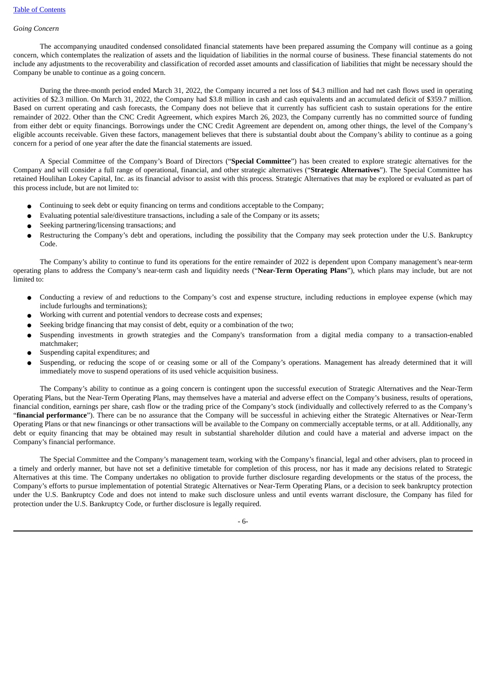#### *Going Concern*

The accompanying unaudited condensed consolidated financial statements have been prepared assuming the Company will continue as a going concern, which contemplates the realization of assets and the liquidation of liabilities in the normal course of business. These financial statements do not include any adjustments to the recoverability and classification of recorded asset amounts and classification of liabilities that might be necessary should the Company be unable to continue as a going concern.

During the three-month period ended March 31, 2022, the Company incurred a net loss of \$4.3 million and had net cash flows used in operating activities of \$2.3 million. On March 31, 2022, the Company had \$3.8 million in cash and cash equivalents and an accumulated deficit of \$359.7 million. Based on current operating and cash forecasts, the Company does not believe that it currently has sufficient cash to sustain operations for the entire remainder of 2022. Other than the CNC Credit Agreement, which expires March 26, 2023, the Company currently has no committed source of funding from either debt or equity financings. Borrowings under the CNC Credit Agreement are dependent on, among other things, the level of the Company's eligible accounts receivable. Given these factors, management believes that there is substantial doubt about the Company's ability to continue as a going concern for a period of one year after the date the financial statements are issued.

A Special Committee of the Company's Board of Directors ("**Special Committee**") has been created to explore strategic alternatives for the Company and will consider a full range of operational, financial, and other strategic alternatives ("**Strategic Alternatives**"). The Special Committee has retained Houlihan Lokey Capital, Inc. as its financial advisor to assist with this process. Strategic Alternatives that may be explored or evaluated as part of this process include, but are not limited to:

- Continuing to seek debt or equity financing on terms and conditions acceptable to the Company;
- Evaluating potential sale/divestiture transactions, including a sale of the Company or its assets;
- Seeking partnering/licensing transactions; and
- Restructuring the Company's debt and operations, including the possibility that the Company may seek protection under the U.S. Bankruptcy Code.

The Company's ability to continue to fund its operations for the entire remainder of 2022 is dependent upon Company management's near-term operating plans to address the Company's near-term cash and liquidity needs ("**Near-Term Operating Plans**"), which plans may include, but are not limited to:

- Conducting a review of and reductions to the Company's cost and expense structure, including reductions in employee expense (which may include furloughs and terminations);
- Working with current and potential vendors to decrease costs and expenses;
- Seeking bridge financing that may consist of debt, equity or a combination of the two;
- Suspending investments in growth strategies and the Company's transformation from a digital media company to a transaction-enabled matchmaker;
- Suspending capital expenditures; and
- Suspending, or reducing the scope of or ceasing some or all of the Company's operations. Management has already determined that it will immediately move to suspend operations of its used vehicle acquisition business.

The Company's ability to continue as a going concern is contingent upon the successful execution of Strategic Alternatives and the Near-Term Operating Plans, but the Near-Term Operating Plans, may themselves have a material and adverse effect on the Company's business, results of operations, financial condition, earnings per share, cash flow or the trading price of the Company's stock (individually and collectively referred to as the Company's "**financial performance**"). There can be no assurance that the Company will be successful in achieving either the Strategic Alternatives or Near-Term Operating Plans or that new financings or other transactions will be available to the Company on commercially acceptable terms, or at all. Additionally, any debt or equity financing that may be obtained may result in substantial shareholder dilution and could have a material and adverse impact on the Company's financial performance.

The Special Committee and the Company's management team, working with the Company's financial, legal and other advisers, plan to proceed in a timely and orderly manner, but have not set a definitive timetable for completion of this process, nor has it made any decisions related to Strategic Alternatives at this time. The Company undertakes no obligation to provide further disclosure regarding developments or the status of the process, the Company's efforts to pursue implementation of potential Strategic Alternatives or Near-Term Operating Plans, or a decision to seek bankruptcy protection under the U.S. Bankruptcy Code and does not intend to make such disclosure unless and until events warrant disclosure, the Company has filed for protection under the U.S. Bankruptcy Code, or further disclosure is legally required.

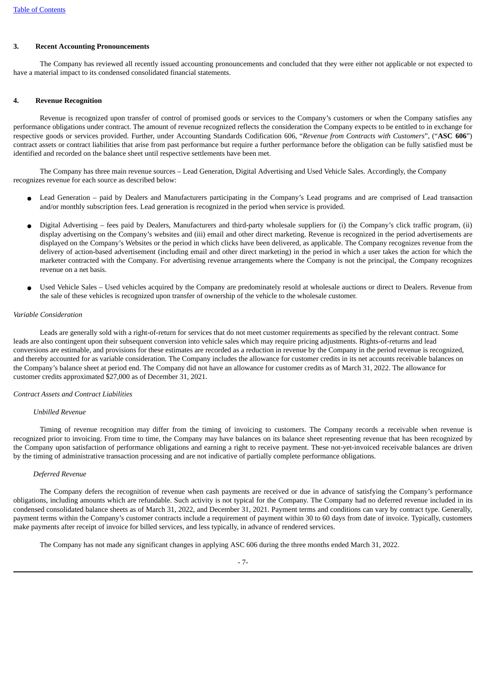## **3. Recent Accounting Pronouncements**

The Company has reviewed all recently issued accounting pronouncements and concluded that they were either not applicable or not expected to have a material impact to its condensed consolidated financial statements.

### **4. Revenue Recognition**

Revenue is recognized upon transfer of control of promised goods or services to the Company's customers or when the Company satisfies any performance obligations under contract. The amount of revenue recognized reflects the consideration the Company expects to be entitled to in exchange for respective goods or services provided. Further, under Accounting Standards Codification 606, "*Revenue from Contracts with Customers*", ("**ASC 606**") contract assets or contract liabilities that arise from past performance but require a further performance before the obligation can be fully satisfied must be identified and recorded on the balance sheet until respective settlements have been met.

The Company has three main revenue sources – Lead Generation, Digital Advertising and Used Vehicle Sales. Accordingly, the Company recognizes revenue for each source as described below:

- Lead Generation paid by Dealers and Manufacturers participating in the Company's Lead programs and are comprised of Lead transaction and/or monthly subscription fees. Lead generation is recognized in the period when service is provided.
- Digital Advertising fees paid by Dealers, Manufacturers and third-party wholesale suppliers for (i) the Company's click traffic program, (ii) display advertising on the Company's websites and (iii) email and other direct marketing. Revenue is recognized in the period advertisements are displayed on the Company's Websites or the period in which clicks have been delivered, as applicable. The Company recognizes revenue from the delivery of action-based advertisement (including email and other direct marketing) in the period in which a user takes the action for which the marketer contracted with the Company. For advertising revenue arrangements where the Company is not the principal, the Company recognizes revenue on a net basis.
- Used Vehicle Sales Used vehicles acquired by the Company are predominately resold at wholesale auctions or direct to Dealers. Revenue from the sale of these vehicles is recognized upon transfer of ownership of the vehicle to the wholesale customer.

### *Variable Consideration*

Leads are generally sold with a right-of-return for services that do not meet customer requirements as specified by the relevant contract. Some leads are also contingent upon their subsequent conversion into vehicle sales which may require pricing adjustments. Rights-of-returns and lead conversions are estimable, and provisions for these estimates are recorded as a reduction in revenue by the Company in the period revenue is recognized, and thereby accounted for as variable consideration. The Company includes the allowance for customer credits in its net accounts receivable balances on the Company's balance sheet at period end. The Company did not have an allowance for customer credits as of March 31, 2022. The allowance for customer credits approximated \$27,000 as of December 31, 2021.

#### *Contract Assets and Contract Liabilities*

#### *Unbilled Revenue*

Timing of revenue recognition may differ from the timing of invoicing to customers. The Company records a receivable when revenue is recognized prior to invoicing. From time to time, the Company may have balances on its balance sheet representing revenue that has been recognized by the Company upon satisfaction of performance obligations and earning a right to receive payment. These not-yet-invoiced receivable balances are driven by the timing of administrative transaction processing and are not indicative of partially complete performance obligations.

#### *Deferred Revenue*

The Company defers the recognition of revenue when cash payments are received or due in advance of satisfying the Company's performance obligations, including amounts which are refundable. Such activity is not typical for the Company. The Company had no deferred revenue included in its condensed consolidated balance sheets as of March 31, 2022, and December 31, 2021. Payment terms and conditions can vary by contract type. Generally, payment terms within the Company's customer contracts include a requirement of payment within 30 to 60 days from date of invoice. Typically, customers make payments after receipt of invoice for billed services, and less typically, in advance of rendered services.

The Company has not made any significant changes in applying ASC 606 during the three months ended March 31, 2022.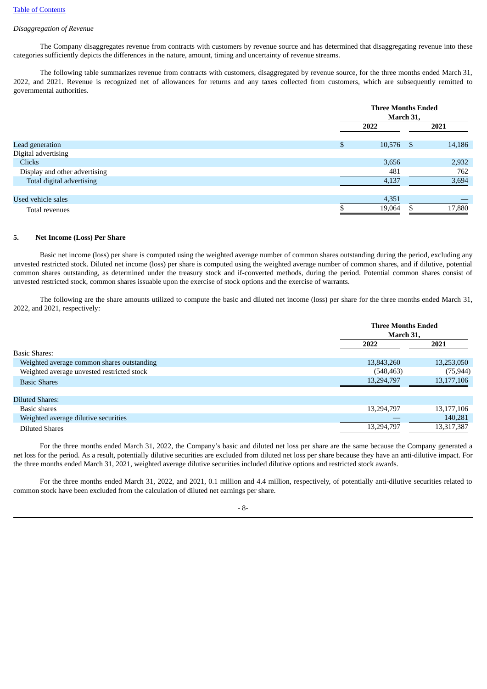### *Disaggregation of Revenue*

The Company disaggregates revenue from contracts with customers by revenue source and has determined that disaggregating revenue into these categories sufficiently depicts the differences in the nature, amount, timing and uncertainty of revenue streams.

The following table summarizes revenue from contracts with customers, disaggregated by revenue source, for the three months ended March 31, 2022, and 2021. Revenue is recognized net of allowances for returns and any taxes collected from customers, which are subsequently remitted to governmental authorities.

|                               | <b>Three Months Ended</b><br>March 31, |      |        |
|-------------------------------|----------------------------------------|------|--------|
|                               | 2022                                   | 2021 |        |
| Lead generation               | \$<br>10,576 \$                        |      | 14,186 |
| Digital advertising           |                                        |      |        |
| Clicks                        | 3,656                                  |      | 2,932  |
| Display and other advertising | 481                                    |      | 762    |
| Total digital advertising     | 4,137                                  |      | 3,694  |
|                               |                                        |      |        |
| Used vehicle sales            | 4,351                                  |      | $-$    |
| Total revenues                | 19,064                                 |      | 17,880 |

#### **5. Net Income (Loss) Per Share**

Basic net income (loss) per share is computed using the weighted average number of common shares outstanding during the period, excluding any unvested restricted stock. Diluted net income (loss) per share is computed using the weighted average number of common shares, and if dilutive, potential common shares outstanding, as determined under the treasury stock and if-converted methods, during the period. Potential common shares consist of unvested restricted stock, common shares issuable upon the exercise of stock options and the exercise of warrants.

The following are the share amounts utilized to compute the basic and diluted net income (loss) per share for the three months ended March 31, 2022, and 2021, respectively:

|                                            | <b>Three Months Ended</b><br>March 31, |            |
|--------------------------------------------|----------------------------------------|------------|
|                                            | 2022                                   | 2021       |
| <b>Basic Shares:</b>                       |                                        |            |
| Weighted average common shares outstanding | 13,843,260                             | 13,253,050 |
| Weighted average unvested restricted stock | (548, 463)                             | (75, 944)  |
| <b>Basic Shares</b>                        | 13,294,797                             | 13,177,106 |
| Diluted Shares:                            |                                        |            |
| <b>Basic shares</b>                        | 13,294,797                             | 13,177,106 |
| Weighted average dilutive securities       |                                        | 140,281    |
| Diluted Shares                             | 13,294,797                             | 13,317,387 |
|                                            |                                        |            |

For the three months ended March 31, 2022, the Company's basic and diluted net loss per share are the same because the Company generated a net loss for the period. As a result, potentially dilutive securities are excluded from diluted net loss per share because they have an anti-dilutive impact. For the three months ended March 31, 2021, weighted average dilutive securities included dilutive options and restricted stock awards.

For the three months ended March 31, 2022, and 2021, 0.1 million and 4.4 million, respectively, of potentially anti-dilutive securities related to common stock have been excluded from the calculation of diluted net earnings per share.

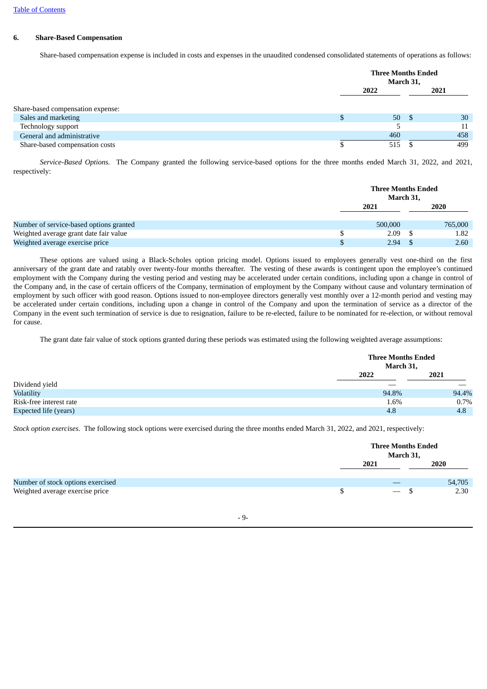# **6. Share-Based Compensation**

Share-based compensation expense is included in costs and expenses in the unaudited condensed consolidated statements of operations as follows:

|                                   | <b>Three Months Ended</b><br>March 31, |      |      |  |
|-----------------------------------|----------------------------------------|------|------|--|
|                                   | 2022                                   |      | 2021 |  |
| Share-based compensation expense: |                                        |      |      |  |
| Sales and marketing               | 50                                     | - \$ | 30   |  |
| Technology support                |                                        |      | 11   |  |
| General and administrative        | 460                                    |      | 458  |  |
| Share-based compensation costs    | 515                                    |      | 499  |  |

*Service-Based Options.* The Company granted the following service-based options for the three months ended March 31, 2022, and 2021, respectively:

|                                         | <b>Three Months Ended</b> | March 31, |         |
|-----------------------------------------|---------------------------|-----------|---------|
|                                         | 2021                      |           | 2020    |
| Number of service-based options granted | 500,000                   |           | 765,000 |
| Weighted average grant date fair value  | 2.09                      |           | 1.82    |
| Weighted average exercise price         | 2.94                      |           | 2.60    |

These options are valued using a Black-Scholes option pricing model. Options issued to employees generally vest one-third on the first anniversary of the grant date and ratably over twenty-four months thereafter. The vesting of these awards is contingent upon the employee's continued employment with the Company during the vesting period and vesting may be accelerated under certain conditions, including upon a change in control of the Company and, in the case of certain officers of the Company, termination of employment by the Company without cause and voluntary termination of employment by such officer with good reason. Options issued to non-employee directors generally vest monthly over a 12-month period and vesting may be accelerated under certain conditions, including upon a change in control of the Company and upon the termination of service as a director of the Company in the event such termination of service is due to resignation, failure to be re-elected, failure to be nominated for re-election, or without removal for cause.

The grant date fair value of stock options granted during these periods was estimated using the following weighted average assumptions:

|                         | <b>Three Months Ended</b><br>March 31, |       |
|-------------------------|----------------------------------------|-------|
|                         | 2022                                   | 2021  |
| Dividend yield          |                                        |       |
| <b>Volatility</b>       | 94.8%                                  | 94.4% |
| Risk-free interest rate | 1.6%                                   | 0.7%  |
| Expected life (years)   | 4.8                                    | 4.8   |

*Stock option exercises*. The following stock options were exercised during the three months ended March 31, 2022, and 2021, respectively:

|                                   | <b>Three Months Ended</b><br>March 31, |        |
|-----------------------------------|----------------------------------------|--------|
|                                   | 2021                                   | 2020   |
| Number of stock options exercised |                                        | 54,705 |
| Weighted average exercise price   | $\overline{\phantom{m}}$               | 2.30   |

- 9-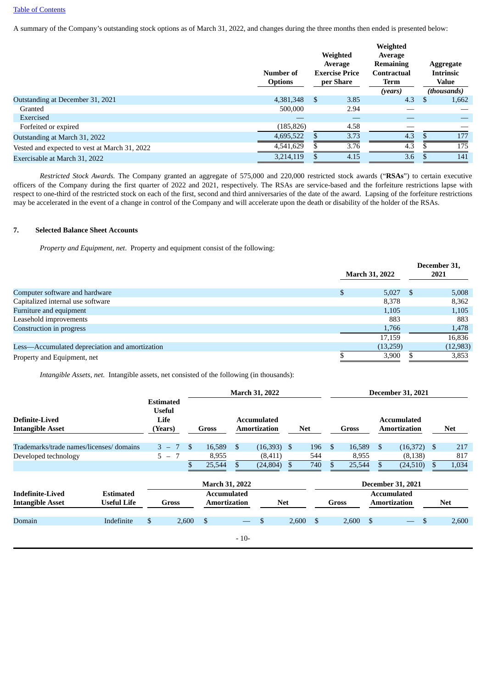## Table of [Contents](#page-1-0)

A summary of the Company's outstanding stock options as of March 31, 2022, and changes during the three months then ended is presented below:

|                                               | Number of<br><b>Options</b> |     | Weighted<br>Average<br><b>Exercise Price</b><br>per Share | Weighted<br>Average<br><b>Remaining</b><br><b>Contractual</b><br>Term<br>(years) |    | Aggregate<br><b>Intrinsic</b><br>Value<br>(thousands) |
|-----------------------------------------------|-----------------------------|-----|-----------------------------------------------------------|----------------------------------------------------------------------------------|----|-------------------------------------------------------|
| Outstanding at December 31, 2021              | 4,381,348                   | \$. | 3.85                                                      | 4.3                                                                              | .S | 1,662                                                 |
| Granted                                       | 500,000                     |     | 2.94                                                      |                                                                                  |    |                                                       |
| Exercised                                     |                             |     |                                                           |                                                                                  |    |                                                       |
| Forfeited or expired                          | (185, 826)                  |     | 4.58                                                      |                                                                                  |    |                                                       |
| Outstanding at March 31, 2022                 | 4,695,522                   |     | 3.73                                                      | 4.3                                                                              |    | 177                                                   |
| Vested and expected to vest at March 31, 2022 | 4,541,629                   |     | 3.76                                                      | 4.3                                                                              |    | 175                                                   |
| Exercisable at March 31, 2022                 | 3,214,119                   |     | 4.15                                                      | 3.6                                                                              |    | 141                                                   |

*Restricted Stock Awards.* The Company granted an aggregate of 575,000 and 220,000 restricted stock awards ("**RSAs**") to certain executive officers of the Company during the first quarter of 2022 and 2021, respectively. The RSAs are service-based and the forfeiture restrictions lapse with respect to one-third of the restricted stock on each of the first, second and third anniversaries of the date of the award. Lapsing of the forfeiture restrictions may be accelerated in the event of a change in control of the Company and will accelerate upon the death or disability of the holder of the RSAs.

### **7. Selected Balance Sheet Accounts**

*Property and Equipment, net*. Property and equipment consist of the following:

|                                                | <b>March 31, 2022</b> |            | December 31,<br>2021 |
|------------------------------------------------|-----------------------|------------|----------------------|
| Computer software and hardware                 |                       | $5,027$ \$ | 5,008                |
| Capitalized internal use software              | 8,378                 |            | 8,362                |
| Furniture and equipment                        | 1,105                 |            | 1,105                |
| Leasehold improvements                         |                       | 883        | 883                  |
| Construction in progress                       | 1,766                 |            | 1,478                |
|                                                | 17.159                |            | 16,836               |
| Less—Accumulated depreciation and amortization | (13,259)              |            | (12, 983)            |
| Property and Equipment, net                    | 3,900                 |            | 3,853                |

*Intangible Assets, net.* Intangible assets, net consisted of the following (in thousands):

|                                                  |                    |                                                      |       |                       |     | <b>March 31, 2022</b>              |               |     |                    |        |               | <b>December 31, 2021</b>           |  |            |
|--------------------------------------------------|--------------------|------------------------------------------------------|-------|-----------------------|-----|------------------------------------|---------------|-----|--------------------|--------|---------------|------------------------------------|--|------------|
| <b>Definite-Lived</b><br><b>Intangible Asset</b> |                    | <b>Estimated</b><br><b>Useful</b><br>Life<br>(Years) |       | Gross                 |     | Accumulated<br><b>Amortization</b> | <b>Net</b>    |     |                    | Gross  |               | Accumulated<br><b>Amortization</b> |  | <b>Net</b> |
| Trademarks/trade names/licenses/ domains         |                    | $\overline{7}$<br>$3 -$                              | \$.   | 16,589                | -SS | (16, 393)                          | <sup>\$</sup> | 196 | \$.                | 16,589 | <sup>\$</sup> | $(16,372)$ \$                      |  | 217        |
| Developed technology                             |                    | $5 - 7$                                              |       | 8,955                 |     | (8, 411)                           |               | 544 |                    | 8,955  |               | (8, 138)                           |  | 817        |
|                                                  |                    |                                                      |       | 25,544                |     | (24, 804)                          |               | 740 |                    | 25,544 |               | (24, 510)                          |  | 1,034      |
|                                                  |                    |                                                      |       | <b>March 31, 2022</b> |     |                                    |               |     |                    |        |               | <b>December 31, 2021</b>           |  |            |
| <b>Indefinite-Lived</b>                          | <b>Estimated</b>   |                                                      |       | <b>Accumulated</b>    |     |                                    |               |     | <b>Accumulated</b> |        |               |                                    |  |            |
| <b>Intangible Asset</b>                          | <b>Useful Life</b> | Gross                                                |       | Amortization          |     | <b>Net</b>                         |               |     | Gross              |        |               | <b>Amortization</b>                |  | Net        |
| Domain                                           | Indefinite         | \$                                                   | 2.600 | \$                    |     |                                    | 2,600         | \$. |                    | 2,600  | \$            |                                    |  | 2,600      |

- 10-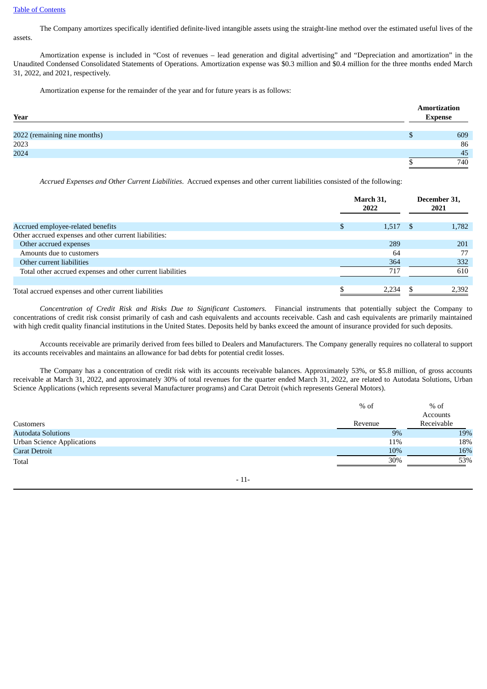The Company amortizes specifically identified definite-lived intangible assets using the straight-line method over the estimated useful lives of the assets.

Amortization expense is included in "Cost of revenues – lead generation and digital advertising" and "Depreciation and amortization" in the Unaudited Condensed Consolidated Statements of Operations. Amortization expense was \$0.3 million and \$0.4 million for the three months ended March 31, 2022, and 2021, respectively.

Amortization expense for the remainder of the year and for future years is as follows:

| Year                         |  | <b>Amortization</b><br><b>Expense</b> |
|------------------------------|--|---------------------------------------|
|                              |  |                                       |
| 2022 (remaining nine months) |  | 609                                   |
| 2023                         |  | 86                                    |
| 2024                         |  | 45                                    |
|                              |  | 740                                   |

*Accrued Expenses and Other Current Liabilities*. Accrued expenses and other current liabilities consisted of the following:

|                                                            | March 31,<br>2022 | December 31,<br>2021 |
|------------------------------------------------------------|-------------------|----------------------|
| Accrued employee-related benefits                          | $1,517$ \$        | 1,782                |
| Other accrued expenses and other current liabilities:      |                   |                      |
| Other accrued expenses                                     | 289               | 201                  |
| Amounts due to customers                                   | 64                | 77                   |
| Other current liabilities                                  | 364               | 332                  |
| Total other accrued expenses and other current liabilities | 717               | 610                  |
| Total accrued expenses and other current liabilities       | 2.234             | 2,392                |

*Concentration of Credit Risk and Risks Due to Significant Customers.* Financial instruments that potentially subject the Company to concentrations of credit risk consist primarily of cash and cash equivalents and accounts receivable. Cash and cash equivalents are primarily maintained with high credit quality financial institutions in the United States. Deposits held by banks exceed the amount of insurance provided for such deposits.

Accounts receivable are primarily derived from fees billed to Dealers and Manufacturers. The Company generally requires no collateral to support its accounts receivables and maintains an allowance for bad debts for potential credit losses.

The Company has a concentration of credit risk with its accounts receivable balances. Approximately 53%, or \$5.8 million, of gross accounts receivable at March 31, 2022, and approximately 30% of total revenues for the quarter ended March 31, 2022, are related to Autodata Solutions, Urban Science Applications (which represents several Manufacturer programs) and Carat Detroit (which represents General Motors).

|                                   | $%$ of  | $%$ of     |
|-----------------------------------|---------|------------|
|                                   |         | Accounts   |
| Customers                         | Revenue | Receivable |
| <b>Autodata Solutions</b>         | 9%      | 19%        |
| <b>Urban Science Applications</b> | 11%     | 18%        |
| <b>Carat Detroit</b>              | 10%     | 16%        |
| Total                             | 30%     | 53%        |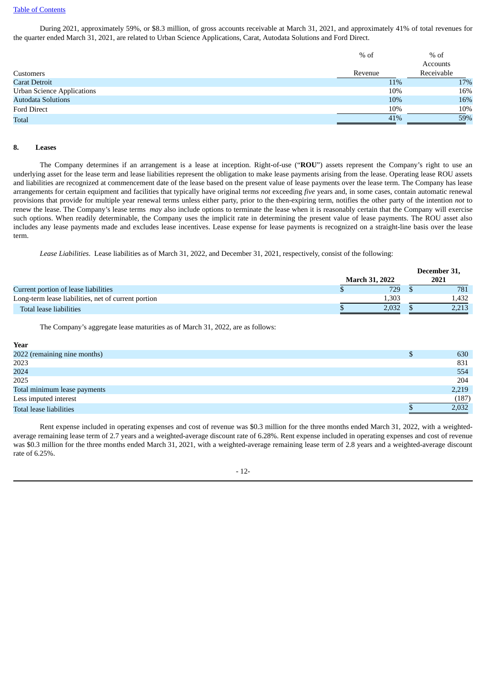During 2021, approximately 59%, or \$8.3 million, of gross accounts receivable at March 31, 2021, and approximately 41% of total revenues for the quarter ended March 31, 2021, are related to Urban Science Applications, Carat, Autodata Solutions and Ford Direct.

|                                   | $%$ of  | $%$ of     |
|-----------------------------------|---------|------------|
|                                   |         | Accounts   |
| Customers                         | Revenue | Receivable |
| Carat Detroit                     | 11%     | 17%        |
| <b>Urban Science Applications</b> | 10%     | 16%        |
| <b>Autodata Solutions</b>         | 10%     | 16%        |
| Ford Direct                       | 10%     | 10%        |
| <b>Total</b>                      | 41%     | 59%        |

#### **8. Leases**

The Company determines if an arrangement is a lease at inception. Right-of-use ("**ROU**") assets represent the Company's right to use an underlying asset for the lease term and lease liabilities represent the obligation to make lease payments arising from the lease. Operating lease ROU assets and liabilities are recognized at commencement date of the lease based on the present value of lease payments over the lease term. The Company has lease arrangements for certain equipment and facilities that typically have original terms *not* exceeding *five* years and, in some cases, contain automatic renewal provisions that provide for multiple year renewal terms unless either party, prior to the then-expiring term, notifies the other party of the intention *not* to renew the lease. The Company's lease terms *may* also include options to terminate the lease when it is reasonably certain that the Company will exercise such options. When readily determinable, the Company uses the implicit rate in determining the present value of lease payments. The ROU asset also includes any lease payments made and excludes lease incentives. Lease expense for lease payments is recognized on a straight-line basis over the lease term.

*Lease Liabilities*. Lease liabilities as of March 31, 2022, and December 31, 2021, respectively, consist of the following:

|                                                     |                       |  | December 31, |
|-----------------------------------------------------|-----------------------|--|--------------|
|                                                     | <b>March 31, 2022</b> |  |              |
| Current portion of lease liabilities                | 729                   |  | 781          |
| Long-term lease liabilities, net of current portion | 1.303                 |  | '.432        |
| Total lease liabilities                             | 2.032                 |  | 2,213        |

The Company's aggregate lease maturities as of March 31, 2022, are as follows:

| Year                         |       |
|------------------------------|-------|
| 2022 (remaining nine months) | 630   |
| 2023                         | 831   |
| 2024                         | 554   |
| 2025                         | 204   |
| Total minimum lease payments | 2,219 |
| Less imputed interest        | (187) |
| Total lease liabilities      | 2,032 |

Rent expense included in operating expenses and cost of revenue was \$0.3 million for the three months ended March 31, 2022, with a weightedaverage remaining lease term of 2.7 years and a weighted-average discount rate of 6.28%. Rent expense included in operating expenses and cost of revenue was \$0.3 million for the three months ended March 31, 2021, with a weighted-average remaining lease term of 2.8 years and a weighted-average discount rate of 6.25%.

- 12-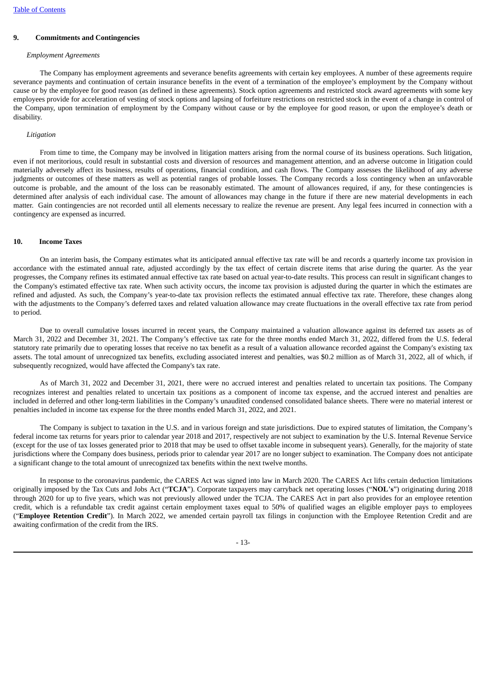## **9. Commitments and Contingencies**

## *Employment Agreements*

The Company has employment agreements and severance benefits agreements with certain key employees. A number of these agreements require severance payments and continuation of certain insurance benefits in the event of a termination of the employee's employment by the Company without cause or by the employee for good reason (as defined in these agreements). Stock option agreements and restricted stock award agreements with some key employees provide for acceleration of vesting of stock options and lapsing of forfeiture restrictions on restricted stock in the event of a change in control of the Company, upon termination of employment by the Company without cause or by the employee for good reason, or upon the employee's death or disability.

#### *Litigation*

From time to time, the Company may be involved in litigation matters arising from the normal course of its business operations. Such litigation, even if not meritorious, could result in substantial costs and diversion of resources and management attention, and an adverse outcome in litigation could materially adversely affect its business, results of operations, financial condition, and cash flows. The Company assesses the likelihood of any adverse judgments or outcomes of these matters as well as potential ranges of probable losses. The Company records a loss contingency when an unfavorable outcome is probable, and the amount of the loss can be reasonably estimated. The amount of allowances required, if any, for these contingencies is determined after analysis of each individual case. The amount of allowances may change in the future if there are new material developments in each matter. Gain contingencies are not recorded until all elements necessary to realize the revenue are present. Any legal fees incurred in connection with a contingency are expensed as incurred.

#### **10. Income Taxes**

On an interim basis, the Company estimates what its anticipated annual effective tax rate will be and records a quarterly income tax provision in accordance with the estimated annual rate, adjusted accordingly by the tax effect of certain discrete items that arise during the quarter. As the year progresses, the Company refines its estimated annual effective tax rate based on actual year-to-date results. This process can result in significant changes to the Company's estimated effective tax rate. When such activity occurs, the income tax provision is adjusted during the quarter in which the estimates are refined and adjusted. As such, the Company's year-to-date tax provision reflects the estimated annual effective tax rate. Therefore, these changes along with the adjustments to the Company's deferred taxes and related valuation allowance may create fluctuations in the overall effective tax rate from period to period.

Due to overall cumulative losses incurred in recent years, the Company maintained a valuation allowance against its deferred tax assets as of March 31, 2022 and December 31, 2021. The Company's effective tax rate for the three months ended March 31, 2022, differed from the U.S. federal statutory rate primarily due to operating losses that receive no tax benefit as a result of a valuation allowance recorded against the Company's existing tax assets. The total amount of unrecognized tax benefits, excluding associated interest and penalties, was \$0.2 million as of March 31, 2022, all of which, if subsequently recognized, would have affected the Company's tax rate.

As of March 31, 2022 and December 31, 2021, there were no accrued interest and penalties related to uncertain tax positions. The Company recognizes interest and penalties related to uncertain tax positions as a component of income tax expense, and the accrued interest and penalties are included in deferred and other long-term liabilities in the Company's unaudited condensed consolidated balance sheets. There were no material interest or penalties included in income tax expense for the three months ended March 31, 2022, and 2021.

The Company is subject to taxation in the U.S. and in various foreign and state jurisdictions. Due to expired statutes of limitation, the Company's federal income tax returns for years prior to calendar year 2018 and 2017, respectively are not subject to examination by the U.S. Internal Revenue Service (except for the use of tax losses generated prior to 2018 that may be used to offset taxable income in subsequent years). Generally, for the majority of state jurisdictions where the Company does business, periods prior to calendar year 2017 are no longer subject to examination. The Company does not anticipate a significant change to the total amount of unrecognized tax benefits within the next twelve months.

In response to the coronavirus pandemic, the CARES Act was signed into law in March 2020. The CARES Act lifts certain deduction limitations originally imposed by the Tax Cuts and Jobs Act ("**TCJA**"). Corporate taxpayers may carryback net operating losses ("**NOL**'**s**") originating during 2018 through 2020 for up to five years, which was not previously allowed under the TCJA. The CARES Act in part also provides for an employee retention credit, which is a refundable tax credit against certain employment taxes equal to 50% of qualified wages an eligible employer pays to employees ("**Employee Retention Credit**"). In March 2022, we amended certain payroll tax filings in conjunction with the Employee Retention Credit and are awaiting confirmation of the credit from the IRS.

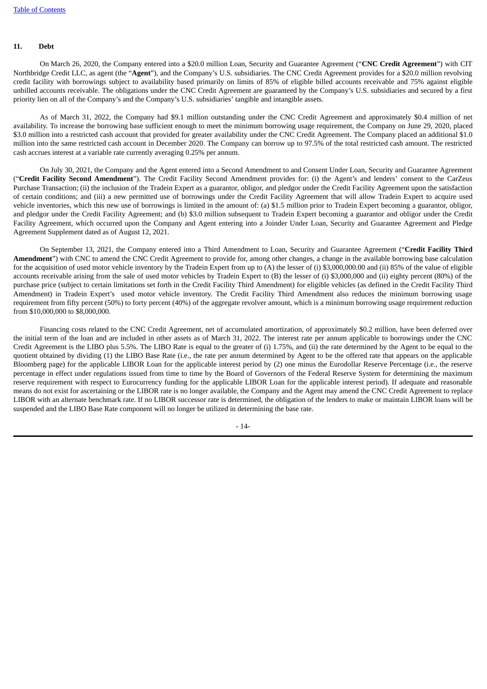## **11. Debt**

On March 26, 2020, the Company entered into a \$20.0 million Loan, Security and Guarantee Agreement ("**CNC Credit Agreement**") with CIT Northbridge Credit LLC, as agent (the "**Agent**"), and the Company's U.S. subsidiaries. The CNC Credit Agreement provides for a \$20.0 million revolving credit facility with borrowings subject to availability based primarily on limits of 85% of eligible billed accounts receivable and 75% against eligible unbilled accounts receivable. The obligations under the CNC Credit Agreement are guaranteed by the Company's U.S. subsidiaries and secured by a first priority lien on all of the Company's and the Company's U.S. subsidiaries' tangible and intangible assets.

As of March 31, 2022, the Company had \$9.1 million outstanding under the CNC Credit Agreement and approximately \$0.4 million of net availability. To increase the borrowing base sufficient enough to meet the minimum borrowing usage requirement, the Company on June 29, 2020, placed \$3.0 million into a restricted cash account that provided for greater availability under the CNC Credit Agreement. The Company placed an additional \$1.0 million into the same restricted cash account in December 2020. The Company can borrow up to 97.5% of the total restricted cash amount. The restricted cash accrues interest at a variable rate currently averaging 0.25% per annum.

On July 30, 2021, the Company and the Agent entered into a Second Amendment to and Consent Under Loan, Security and Guarantee Agreement ("**Credit Facility Second Amendment**"). The Credit Facility Second Amendment provides for: (i) the Agent's and lenders' consent to the CarZeus Purchase Transaction; (ii) the inclusion of the Tradein Expert as a guarantor, obligor, and pledgor under the Credit Facility Agreement upon the satisfaction of certain conditions; and (iii) a new permitted use of borrowings under the Credit Facility Agreement that will allow Tradein Expert to acquire used vehicle inventories, which this new use of borrowings is limited in the amount of: (a) \$1.5 million prior to Tradein Expert becoming a guarantor, obligor, and pledgor under the Credit Facility Agreement; and (b) \$3.0 million subsequent to Tradein Expert becoming a guarantor and obligor under the Credit Facility Agreement, which occurred upon the Company and Agent entering into a Joinder Under Loan, Security and Guarantee Agreement and Pledge Agreement Supplement dated as of August 12, 2021.

On September 13, 2021, the Company entered into a Third Amendment to Loan, Security and Guarantee Agreement ("**Credit Facility Third Amendment**") with CNC to amend the CNC Credit Agreement to provide for, among other changes, a change in the available borrowing base calculation for the acquisition of used motor vehicle inventory by the Tradein Expert from up to (A) the lesser of (i) \$3,000,000.00 and (ii) 85% of the value of eligible accounts receivable arising from the sale of used motor vehicles by Tradein Expert to (B) the lesser of (i) \$3,000,000 and (ii) eighty percent (80%) of the purchase price (subject to certain limitations set forth in the Credit Facility Third Amendment) for eligible vehicles (as defined in the Credit Facility Third Amendment) in Tradein Expert's used motor vehicle inventory. The Credit Facility Third Amendment also reduces the minimum borrowing usage requirement from fifty percent (50%) to forty percent (40%) of the aggregate revolver amount, which is a minimum borrowing usage requirement reduction from \$10,000,000 to \$8,000,000.

Financing costs related to the CNC Credit Agreement, net of accumulated amortization, of approximately \$0.2 million, have been deferred over the initial term of the loan and are included in other assets as of March 31, 2022. The interest rate per annum applicable to borrowings under the CNC Credit Agreement is the LIBO plus 5.5%. The LIBO Rate is equal to the greater of (i) 1.75%, and (ii) the rate determined by the Agent to be equal to the quotient obtained by dividing (1) the LIBO Base Rate (i.e., the rate per annum determined by Agent to be the offered rate that appears on the applicable Bloomberg page) for the applicable LIBOR Loan for the applicable interest period by (2) one minus the Eurodollar Reserve Percentage (i.e., the reserve percentage in effect under regulations issued from time to time by the Board of Governors of the Federal Reserve System for determining the maximum reserve requirement with respect to Eurocurrency funding for the applicable LIBOR Loan for the applicable interest period). If adequate and reasonable means do not exist for ascertaining or the LIBOR rate is no longer available, the Company and the Agent may amend the CNC Credit Agreement to replace LIBOR with an alternate benchmark rate. If no LIBOR successor rate is determined, the obligation of the lenders to make or maintain LIBOR loans will be suspended and the LIBO Base Rate component will no longer be utilized in determining the base rate.

- 14-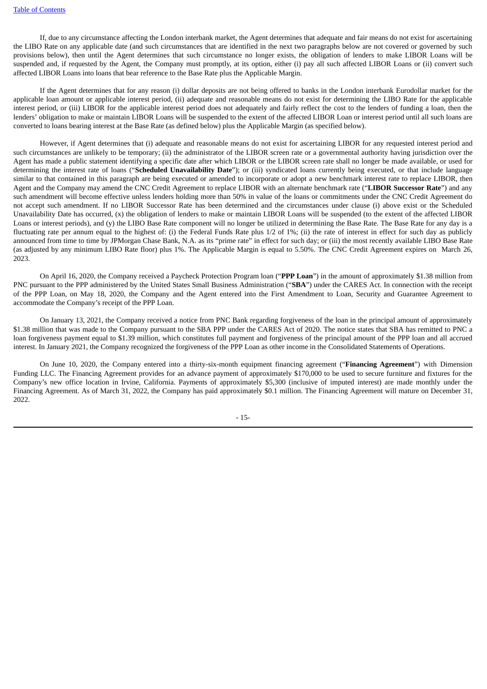If, due to any circumstance affecting the London interbank market, the Agent determines that adequate and fair means do not exist for ascertaining the LIBO Rate on any applicable date (and such circumstances that are identified in the next two paragraphs below are not covered or governed by such provisions below), then until the Agent determines that such circumstance no longer exists, the obligation of lenders to make LIBOR Loans will be suspended and, if requested by the Agent, the Company must promptly, at its option, either (i) pay all such affected LIBOR Loans or (ii) convert such affected LIBOR Loans into loans that bear reference to the Base Rate plus the Applicable Margin.

If the Agent determines that for any reason (i) dollar deposits are not being offered to banks in the London interbank Eurodollar market for the applicable loan amount or applicable interest period, (ii) adequate and reasonable means do not exist for determining the LIBO Rate for the applicable interest period, or (iii) LIBOR for the applicable interest period does not adequately and fairly reflect the cost to the lenders of funding a loan, then the lenders' obligation to make or maintain LIBOR Loans will be suspended to the extent of the affected LIBOR Loan or interest period until all such loans are converted to loans bearing interest at the Base Rate (as defined below) plus the Applicable Margin (as specified below).

However, if Agent determines that (i) adequate and reasonable means do not exist for ascertaining LIBOR for any requested interest period and such circumstances are unlikely to be temporary; (ii) the administrator of the LIBOR screen rate or a governmental authority having jurisdiction over the Agent has made a public statement identifying a specific date after which LIBOR or the LIBOR screen rate shall no longer be made available, or used for determining the interest rate of loans ("**Scheduled Unavailability Date**"); or (iii) syndicated loans currently being executed, or that include language similar to that contained in this paragraph are being executed or amended to incorporate or adopt a new benchmark interest rate to replace LIBOR, then Agent and the Company may amend the CNC Credit Agreement to replace LIBOR with an alternate benchmark rate ("**LIBOR Successor Rate**") and any such amendment will become effective unless lenders holding more than 50% in value of the loans or commitments under the CNC Credit Agreement do not accept such amendment. If no LIBOR Successor Rate has been determined and the circumstances under clause (i) above exist or the Scheduled Unavailability Date has occurred, (x) the obligation of lenders to make or maintain LIBOR Loans will be suspended (to the extent of the affected LIBOR Loans or interest periods), and (y) the LIBO Base Rate component will no longer be utilized in determining the Base Rate. The Base Rate for any day is a fluctuating rate per annum equal to the highest of: (i) the Federal Funds Rate plus 1/2 of 1%; (ii) the rate of interest in effect for such day as publicly announced from time to time by JPMorgan Chase Bank, N.A. as its "prime rate" in effect for such day; or (iii) the most recently available LIBO Base Rate (as adjusted by any minimum LIBO Rate floor) plus 1%. The Applicable Margin is equal to 5.50%. The CNC Credit Agreement expires on March 26, 2023.

On April 16, 2020, the Company received a Paycheck Protection Program loan ("**PPP Loan**") in the amount of approximately \$1.38 million from PNC pursuant to the PPP administered by the United States Small Business Administration ("**SBA**") under the CARES Act. In connection with the receipt of the PPP Loan, on May 18, 2020, the Company and the Agent entered into the First Amendment to Loan, Security and Guarantee Agreement to accommodate the Company's receipt of the PPP Loan.

On January 13, 2021, the Company received a notice from PNC Bank regarding forgiveness of the loan in the principal amount of approximately \$1.38 million that was made to the Company pursuant to the SBA PPP under the CARES Act of 2020. The notice states that SBA has remitted to PNC a loan forgiveness payment equal to \$1.39 million, which constitutes full payment and forgiveness of the principal amount of the PPP loan and all accrued interest. In January 2021, the Company recognized the forgiveness of the PPP Loan as other income in the Consolidated Statements of Operations.

On June 10, 2020, the Company entered into a thirty-six-month equipment financing agreement ("**Financing Agreement**") with Dimension Funding LLC. The Financing Agreement provides for an advance payment of approximately \$170,000 to be used to secure furniture and fixtures for the Company's new office location in Irvine, California. Payments of approximately \$5,300 (inclusive of imputed interest) are made monthly under the Financing Agreement. As of March 31, 2022, the Company has paid approximately \$0.1 million. The Financing Agreement will mature on December 31, 2022.

- 15-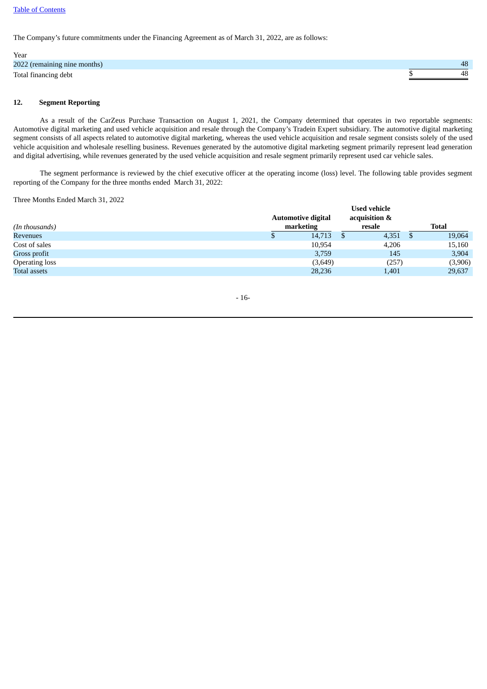The Company's future commitments under the Financing Agreement as of March 31, 2022, are as follows:

| Year                         |    |
|------------------------------|----|
| 2022 (remaining nine months) | 48 |
| Total financing debt         | 48 |

## **12. Segment Reporting**

As a result of the CarZeus Purchase Transaction on August 1, 2021, the Company determined that operates in two reportable segments: Automotive digital marketing and used vehicle acquisition and resale through the Company's Tradein Expert subsidiary. The automotive digital marketing segment consists of all aspects related to automotive digital marketing, whereas the used vehicle acquisition and resale segment consists solely of the used vehicle acquisition and wholesale reselling business. Revenues generated by the automotive digital marketing segment primarily represent lead generation and digital advertising, while revenues generated by the used vehicle acquisition and resale segment primarily represent used car vehicle sales.

The segment performance is reviewed by the chief executive officer at the operating income (loss) level. The following table provides segment reporting of the Company for the three months ended March 31, 2022:

Three Months Ended March 31, 2022

|                       |    | <b>Automotive digital</b> | <b>Used vehicle</b><br>acquisition & |              |
|-----------------------|----|---------------------------|--------------------------------------|--------------|
| (In thousands)        |    | marketing                 | resale                               | <b>Total</b> |
| Revenues              | ۰D | 14,713                    | 4,351                                | 19,064       |
| Cost of sales         |    | 10,954                    | 4,206                                | 15,160       |
| Gross profit          |    | 3,759                     | 145                                  | 3,904        |
| <b>Operating loss</b> |    | (3,649)                   | (257)                                | (3,906)      |
| Total assets          |    | 28,236                    | 1,401                                | 29,637       |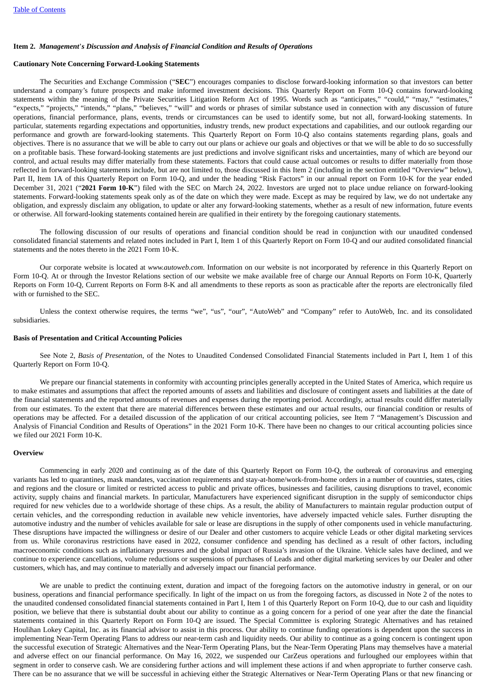## <span id="page-18-0"></span>**Item 2.** *Management*'*s Discussion and Analysis of Financial Condition and Results of Operations*

#### **Cautionary Note Concerning Forward-Looking Statements**

The Securities and Exchange Commission ("**SEC**") encourages companies to disclose forward-looking information so that investors can better understand a company's future prospects and make informed investment decisions. This Quarterly Report on Form 10-Q contains forward-looking statements within the meaning of the Private Securities Litigation Reform Act of 1995. Words such as "anticipates," "could," "may," "estimates," "expects," "projects," "intends," "plans," "believes," "will" and words or phrases of similar substance used in connection with any discussion of future operations, financial performance, plans, events, trends or circumstances can be used to identify some, but not all, forward-looking statements. In particular, statements regarding expectations and opportunities, industry trends, new product expectations and capabilities, and our outlook regarding our performance and growth are forward-looking statements. This Quarterly Report on Form 10-Q also contains statements regarding plans, goals and objectives. There is no assurance that we will be able to carry out our plans or achieve our goals and objectives or that we will be able to do so successfully on a profitable basis. These forward-looking statements are just predictions and involve significant risks and uncertainties, many of which are beyond our control, and actual results may differ materially from these statements. Factors that could cause actual outcomes or results to differ materially from those reflected in forward-looking statements include, but are not limited to, those discussed in this Item 2 (including in the section entitled "Overview" below), Part II, Item 1A of this Quarterly Report on Form 10-Q, and under the heading "Risk Factors" in our annual report on Form 10-K for the year ended December 31, 2021 ("**2021 Form 10-K**") filed with the SEC on March 24, 2022. Investors are urged not to place undue reliance on forward-looking statements. Forward-looking statements speak only as of the date on which they were made. Except as may be required by law, we do not undertake any obligation, and expressly disclaim any obligation, to update or alter any forward-looking statements, whether as a result of new information, future events or otherwise. All forward-looking statements contained herein are qualified in their entirety by the foregoing cautionary statements.

The following discussion of our results of operations and financial condition should be read in conjunction with our unaudited condensed consolidated financial statements and related notes included in Part I, Item 1 of this Quarterly Report on Form 10-Q and our audited consolidated financial statements and the notes thereto in the 2021 Form 10-K.

Our corporate website is located at *www.autoweb.com*. Information on our website is not incorporated by reference in this Quarterly Report on Form 10-Q. At or through the Investor Relations section of our website we make available free of charge our Annual Reports on Form 10-K, Quarterly Reports on Form 10-Q, Current Reports on Form 8-K and all amendments to these reports as soon as practicable after the reports are electronically filed with or furnished to the SEC.

Unless the context otherwise requires, the terms "we", "us", "our", "AutoWeb" and "Company" refer to AutoWeb, Inc. and its consolidated subsidiaries.

### **Basis of Presentation and Critical Accounting Policies**

See Note 2, *Basis of Presentation*, of the Notes to Unaudited Condensed Consolidated Financial Statements included in Part I, Item 1 of this Quarterly Report on Form 10-Q.

We prepare our financial statements in conformity with accounting principles generally accepted in the United States of America, which require us to make estimates and assumptions that affect the reported amounts of assets and liabilities and disclosure of contingent assets and liabilities at the date of the financial statements and the reported amounts of revenues and expenses during the reporting period. Accordingly, actual results could differ materially from our estimates. To the extent that there are material differences between these estimates and our actual results, our financial condition or results of operations may be affected. For a detailed discussion of the application of our critical accounting policies, see Item 7 "Management's Discussion and Analysis of Financial Condition and Results of Operations" in the 2021 Form 10-K. There have been no changes to our critical accounting policies since we filed our 2021 Form 10-K.

### **Overview**

Commencing in early 2020 and continuing as of the date of this Quarterly Report on Form 10-Q, the outbreak of coronavirus and emerging variants has led to quarantines, mask mandates, vaccination requirements and stay-at-home/work-from-home orders in a number of countries, states, cities and regions and the closure or limited or restricted access to public and private offices, businesses and facilities, causing disruptions to travel, economic activity, supply chains and financial markets. In particular, Manufacturers have experienced significant disruption in the supply of semiconductor chips required for new vehicles due to a worldwide shortage of these chips. As a result, the ability of Manufacturers to maintain regular production output of certain vehicles, and the corresponding reduction in available new vehicle inventories, have adversely impacted vehicle sales. Further disrupting the automotive industry and the number of vehicles available for sale or lease are disruptions in the supply of other components used in vehicle manufacturing. These disruptions have impacted the willingness or desire of our Dealer and other customers to acquire vehicle Leads or other digital marketing services from us. While coronavirus restrictions have eased in 2022, consumer confidence and spending has declined as a result of other factors, including macroeconomic conditions such as inflationary pressures and the global impact of Russia's invasion of the Ukraine. Vehicle sales have declined, and we continue to experience cancellations, volume reductions or suspensions of purchases of Leads and other digital marketing services by our Dealer and other customers, which has, and may continue to materially and adversely impact our financial performance.

We are unable to predict the continuing extent, duration and impact of the foregoing factors on the automotive industry in general, or on our business, operations and financial performance specifically. In light of the impact on us from the foregoing factors, as discussed in Note 2 of the notes to the unaudited condensed consolidated financial statements contained in Part I, Item 1 of this Quarterly Report on Form 10-Q, due to our cash and liquidity position, we believe that there is substantial doubt about our ability to continue as a going concern for a period of one year after the date the financial statements contained in this Quarterly Report on Form 10-Q are issued. The Special Committee is exploring Strategic Alternatives and has retained Houlihan Lokey Capital, Inc. as its financial advisor to assist in this process. Our ability to continue funding operations is dependent upon the success in implementing Near-Term Operating Plans to address our near-term cash and liquidity needs. Our ability to continue as a going concern is contingent upon the successful execution of Strategic Alternatives and the Near-Term Operating Plans, but the Near-Term Operating Plans may themselves have a material and adverse effect on our financial performance. On May 16, 2022, we suspended our CarZeus operations and furloughed our employees within that segment in order to conserve cash. We are considering further actions and will implement these actions if and when appropriate to further conserve cash. There can be no assurance that we will be successful in achieving either the Strategic Alternatives or Near-Term Operating Plans or that new financing or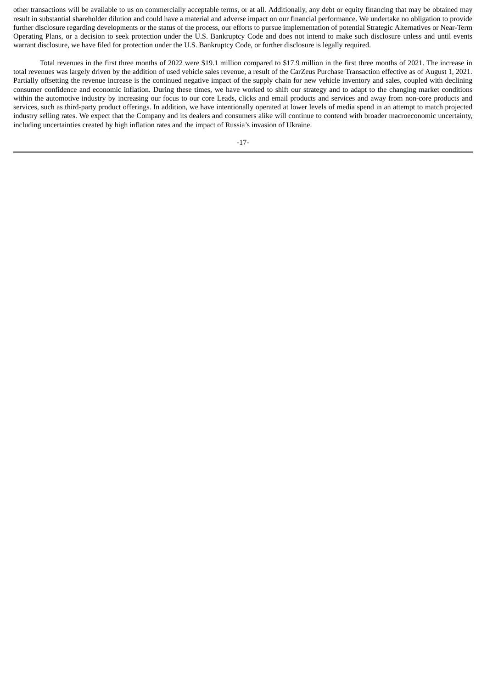other transactions will be available to us on commercially acceptable terms, or at all. Additionally, any debt or equity financing that may be obtained may result in substantial shareholder dilution and could have a material and adverse impact on our financial performance. We undertake no obligation to provide further disclosure regarding developments or the status of the process, our efforts to pursue implementation of potential Strategic Alternatives or Near-Term Operating Plans, or a decision to seek protection under the U.S. Bankruptcy Code and does not intend to make such disclosure unless and until events warrant disclosure, we have filed for protection under the U.S. Bankruptcy Code, or further disclosure is legally required.

Total revenues in the first three months of 2022 were \$19.1 million compared to \$17.9 million in the first three months of 2021. The increase in total revenues was largely driven by the addition of used vehicle sales revenue, a result of the CarZeus Purchase Transaction effective as of August 1, 2021. Partially offsetting the revenue increase is the continued negative impact of the supply chain for new vehicle inventory and sales, coupled with declining consumer confidence and economic inflation. During these times, we have worked to shift our strategy and to adapt to the changing market conditions within the automotive industry by increasing our focus to our core Leads, clicks and email products and services and away from non-core products and services, such as third-party product offerings. In addition, we have intentionally operated at lower levels of media spend in an attempt to match projected industry selling rates. We expect that the Company and its dealers and consumers alike will continue to contend with broader macroeconomic uncertainty, including uncertainties created by high inflation rates and the impact of Russia's invasion of Ukraine.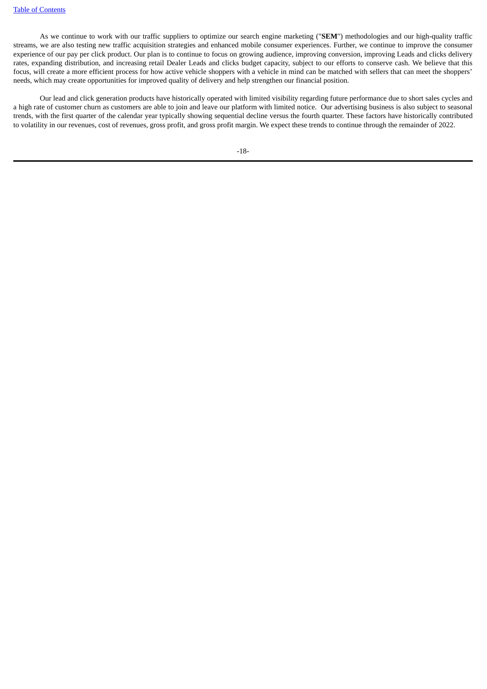As we continue to work with our traffic suppliers to optimize our search engine marketing ("**SEM**") methodologies and our high-quality traffic streams, we are also testing new traffic acquisition strategies and enhanced mobile consumer experiences. Further, we continue to improve the consumer experience of our pay per click product. Our plan is to continue to focus on growing audience, improving conversion, improving Leads and clicks delivery rates, expanding distribution, and increasing retail Dealer Leads and clicks budget capacity, subject to our efforts to conserve cash. We believe that this focus, will create a more efficient process for how active vehicle shoppers with a vehicle in mind can be matched with sellers that can meet the shoppers' needs, which may create opportunities for improved quality of delivery and help strengthen our financial position.

Our lead and click generation products have historically operated with limited visibility regarding future performance due to short sales cycles and a high rate of customer churn as customers are able to join and leave our platform with limited notice. Our advertising business is also subject to seasonal trends, with the first quarter of the calendar year typically showing sequential decline versus the fourth quarter. These factors have historically contributed to volatility in our revenues, cost of revenues, gross profit, and gross profit margin. We expect these trends to continue through the remainder of 2022.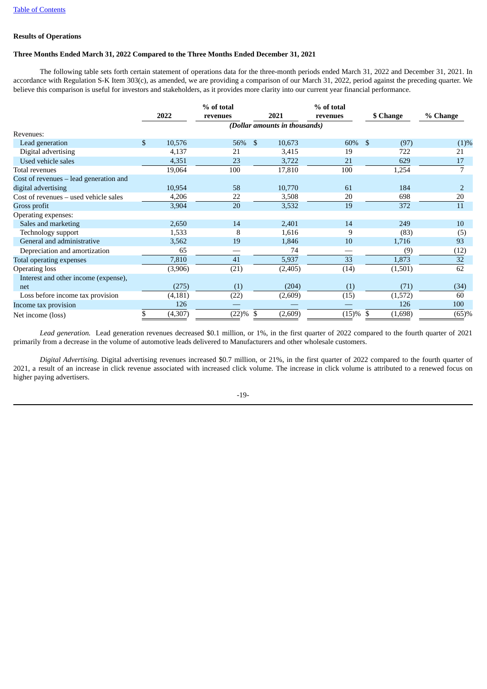### **Results of Operations**

## **Three Months Ended March 31, 2022 Compared to the Three Months Ended December 31, 2021**

The following table sets forth certain statement of operations data for the three-month periods ended March 31, 2022 and December 31, 2021. In accordance with Regulation S-K Item 303(c), as amended, we are providing a comparison of our March 31, 2022, period against the preceding quarter. We believe this comparison is useful for investors and stakeholders, as it provides more clarity into our current year financial performance.

|                                        |                               |          | % of total |                |          | % of total |                       |                |
|----------------------------------------|-------------------------------|----------|------------|----------------|----------|------------|-----------------------|----------------|
|                                        |                               | 2022     | revenues   |                | 2021     | revenues   | \$ Change             | % Change       |
|                                        | (Dollar amounts in thousands) |          |            |                |          |            |                       |                |
| Revenues:                              |                               |          |            |                |          |            |                       |                |
| Lead generation                        | \$                            | 10,576   | 56%        | $\mathfrak{S}$ | 10,673   | 60%        | <sup>\$</sup><br>(97) | (1)%           |
| Digital advertising                    |                               | 4,137    | 21         |                | 3,415    | 19         | 722                   | 21             |
| Used vehicle sales                     |                               | 4,351    | 23         |                | 3,722    | 21         | 629                   | 17             |
| <b>Total revenues</b>                  |                               | 19,064   | 100        |                | 17,810   | 100        | 1,254                 | $\overline{7}$ |
| Cost of revenues - lead generation and |                               |          |            |                |          |            |                       |                |
| digital advertising                    |                               | 10,954   | 58         |                | 10,770   | 61         | 184                   | $\overline{2}$ |
| Cost of revenues – used vehicle sales  |                               | 4,206    | 22         |                | 3,508    | 20         | 698                   | 20             |
| Gross profit                           |                               | 3,904    | 20         |                | 3,532    | 19         | 372                   | 11             |
| Operating expenses:                    |                               |          |            |                |          |            |                       |                |
| Sales and marketing                    |                               | 2,650    | 14         |                | 2,401    | 14         | 249                   | 10             |
| Technology support                     |                               | 1,533    | 8          |                | 1,616    | 9          | (83)                  | (5)            |
| General and administrative             |                               | 3,562    | 19         |                | 1,846    | 10         | 1,716                 | 93             |
| Depreciation and amortization          |                               | 65       |            |                | 74       |            | (9)                   | (12)           |
| Total operating expenses               |                               | 7,810    | 41         |                | 5,937    | 33         | 1,873                 | 32             |
| <b>Operating loss</b>                  |                               | (3,906)  | (21)       |                | (2, 405) | (14)       | (1,501)               | 62             |
| Interest and other income (expense),   |                               |          |            |                |          |            |                       |                |
| net                                    |                               | (275)    | (1)        |                | (204)    | (1)        | (71)                  | (34)           |
| Loss before income tax provision       |                               | (4, 181) | (22)       |                | (2,609)  | (15)       | (1, 572)              | 60             |
| Income tax provision                   |                               | 126      |            |                |          |            | 126                   | 100            |
| Net income (loss)                      |                               | (4, 307) | (22)%      | S              | (2,609)  | (15)%      | (1,698)<br>- S        | (65)%          |

*Lead generation.* Lead generation revenues decreased \$0.1 million, or 1%, in the first quarter of 2022 compared to the fourth quarter of 2021 primarily from a decrease in the volume of automotive leads delivered to Manufacturers and other wholesale customers.

*Digital Advertising.* Digital advertising revenues increased \$0.7 million, or 21%, in the first quarter of 2022 compared to the fourth quarter of 2021, a result of an increase in click revenue associated with increased click volume. The increase in click volume is attributed to a renewed focus on higher paying advertisers.

-19-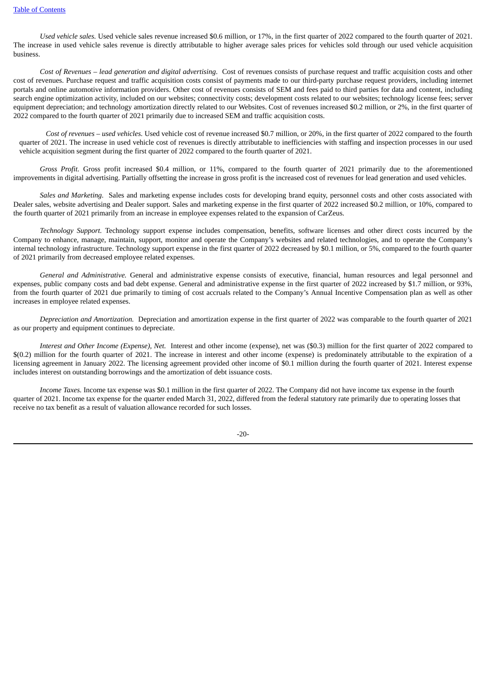*Used vehicle sales.* Used vehicle sales revenue increased \$0.6 million, or 17%, in the first quarter of 2022 compared to the fourth quarter of 2021. The increase in used vehicle sales revenue is directly attributable to higher average sales prices for vehicles sold through our used vehicle acquisition business.

*Cost of Revenues* – *lead generation and digital advertising*. Cost of revenues consists of purchase request and traffic acquisition costs and other cost of revenues. Purchase request and traffic acquisition costs consist of payments made to our third-party purchase request providers, including internet portals and online automotive information providers. Other cost of revenues consists of SEM and fees paid to third parties for data and content, including search engine optimization activity, included on our websites; connectivity costs; development costs related to our websites; technology license fees; server equipment depreciation; and technology amortization directly related to our Websites. Cost of revenues increased \$0.2 million, or 2%, in the first quarter of 2022 compared to the fourth quarter of 2021 primarily due to increased SEM and traffic acquisition costs.

*Cost of revenues* – *used vehicles.* Used vehicle cost of revenue increased \$0.7 million, or 20%, in the first quarter of 2022 compared to the fourth quarter of 2021. The increase in used vehicle cost of revenues is directly attributable to inefficiencies with staffing and inspection processes in our used vehicle acquisition segment during the first quarter of 2022 compared to the fourth quarter of 2021.

*Gross Profit.* Gross profit increased \$0.4 million, or 11%, compared to the fourth quarter of 2021 primarily due to the aforementioned improvements in digital advertising. Partially offsetting the increase in gross profit is the increased cost of revenues for lead generation and used vehicles.

*Sales and Marketing.* Sales and marketing expense includes costs for developing brand equity, personnel costs and other costs associated with Dealer sales, website advertising and Dealer support. Sales and marketing expense in the first quarter of 2022 increased \$0.2 million, or 10%, compared to the fourth quarter of 2021 primarily from an increase in employee expenses related to the expansion of CarZeus.

*Technology Support.* Technology support expense includes compensation, benefits, software licenses and other direct costs incurred by the Company to enhance, manage, maintain, support, monitor and operate the Company's websites and related technologies, and to operate the Company's internal technology infrastructure. Technology support expense in the first quarter of 2022 decreased by \$0.1 million, or 5%, compared to the fourth quarter of 2021 primarily from decreased employee related expenses.

*General and Administrative.* General and administrative expense consists of executive, financial, human resources and legal personnel and expenses, public company costs and bad debt expense. General and administrative expense in the first quarter of 2022 increased by \$1.7 million, or 93%, from the fourth quarter of 2021 due primarily to timing of cost accruals related to the Company's Annual Incentive Compensation plan as well as other increases in employee related expenses.

*Depreciation and Amortization.* Depreciation and amortization expense in the first quarter of 2022 was comparable to the fourth quarter of 2021 as our property and equipment continues to depreciate.

*Interest and Other Income (Expense), Net.* Interest and other income (expense), net was (\$0.3) million for the first quarter of 2022 compared to \$(0.2) million for the fourth quarter of 2021. The increase in interest and other income (expense) is predominately attributable to the expiration of a licensing agreement in January 2022. The licensing agreement provided other income of \$0.1 million during the fourth quarter of 2021. Interest expense includes interest on outstanding borrowings and the amortization of debt issuance costs.

*Income Taxes.* Income tax expense was \$0.1 million in the first quarter of 2022. The Company did not have income tax expense in the fourth quarter of 2021. Income tax expense for the quarter ended March 31, 2022, differed from the federal statutory rate primarily due to operating losses that receive no tax benefit as a result of valuation allowance recorded for such losses.

-20-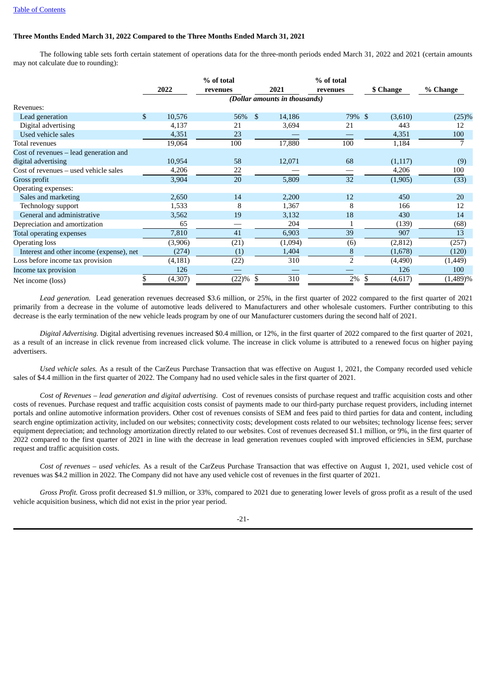#### **Three Months Ended March 31, 2022 Compared to the Three Months Ended March 31, 2021**

The following table sets forth certain statement of operations data for the three-month periods ended March 31, 2022 and 2021 (certain amounts may not calculate due to rounding):

|                                          |              | % of total  |     |                               | % of total     |               |             |
|------------------------------------------|--------------|-------------|-----|-------------------------------|----------------|---------------|-------------|
|                                          | 2022         | revenues    |     | 2021                          | revenues       | \$ Change     | % Change    |
|                                          |              |             |     | (Dollar amounts in thousands) |                |               |             |
| Revenues:                                |              |             |     |                               |                |               |             |
| Lead generation                          | \$<br>10,576 | 56%         | -\$ | 14,186                        | 79% \$         | (3,610)       | (25)%       |
| Digital advertising                      | 4,137        | 21          |     | 3,694                         | 21             | 443           | 12          |
| Used vehicle sales                       | 4,351        | 23          |     |                               |                | 4,351         | 100         |
| Total revenues                           | 19,064       | 100         |     | 17,880                        | 100            | 1,184         | 7           |
| Cost of revenues $-$ lead generation and |              |             |     |                               |                |               |             |
| digital advertising                      | 10,954       | 58          |     | 12,071                        | 68             | (1, 117)      | (9)         |
| Cost of revenues – used vehicle sales    | 4,206        | 22          |     |                               |                | 4,206         | 100         |
| Gross profit                             | 3,904        | 20          |     | 5,809                         | 32             | (1,905)       | (33)        |
| Operating expenses:                      |              |             |     |                               |                |               |             |
| Sales and marketing                      | 2,650        | 14          |     | 2,200                         | 12             | 450           | 20          |
| Technology support                       | 1,533        | 8           |     | 1,367                         | 8              | 166           | 12          |
| General and administrative               | 3,562        | 19          |     | 3,132                         | 18             | 430           | 14          |
| Depreciation and amortization            | 65           | __          |     | 204                           |                | (139)         | (68)        |
| Total operating expenses                 | 7,810        | 41          |     | 6,903                         | 39             | 907           | 13          |
| <b>Operating loss</b>                    | (3,906)      | (21)        |     | (1,094)                       | (6)            | (2,812)       | (257)       |
| Interest and other income (expense), net | (274)        | (1)         |     | 1,404                         | 8              | (1,678)       | (120)       |
| Loss before income tax provision         | (4, 181)     | (22)        |     | 310                           | $\overline{2}$ | (4,490)       | (1,449)     |
| Income tax provision                     | 126          |             |     |                               |                | 126           | 100         |
| Net income (loss)                        | (4, 307)     | $(22)\%$ \$ |     | 310                           | 2%             | (4, 617)<br>S | $(1,489)\%$ |

*Lead generation.* Lead generation revenues decreased \$3.6 million, or 25%, in the first quarter of 2022 compared to the first quarter of 2021 primarily from a decrease in the volume of automotive leads delivered to Manufacturers and other wholesale customers. Further contributing to this decrease is the early termination of the new vehicle leads program by one of our Manufacturer customers during the second half of 2021.

*Digital Advertising.* Digital advertising revenues increased \$0.4 million, or 12%, in the first quarter of 2022 compared to the first quarter of 2021, as a result of an increase in click revenue from increased click volume. The increase in click volume is attributed to a renewed focus on higher paying advertisers.

*Used vehicle sales.* As a result of the CarZeus Purchase Transaction that was effective on August 1, 2021, the Company recorded used vehicle sales of \$4.4 million in the first quarter of 2022. The Company had no used vehicle sales in the first quarter of 2021.

*Cost of Revenues* – *lead generation and digital advertising*. Cost of revenues consists of purchase request and traffic acquisition costs and other costs of revenues. Purchase request and traffic acquisition costs consist of payments made to our third-party purchase request providers, including internet portals and online automotive information providers. Other cost of revenues consists of SEM and fees paid to third parties for data and content, including search engine optimization activity, included on our websites; connectivity costs; development costs related to our websites; technology license fees; server equipment depreciation; and technology amortization directly related to our websites. Cost of revenues decreased \$1.1 million, or 9%, in the first quarter of 2022 compared to the first quarter of 2021 in line with the decrease in lead generation revenues coupled with improved efficiencies in SEM, purchase request and traffic acquisition costs.

*Cost of revenues* – *used vehicles.* As a result of the CarZeus Purchase Transaction that was effective on August 1, 2021, used vehicle cost of revenues was \$4.2 million in 2022. The Company did not have any used vehicle cost of revenues in the first quarter of 2021.

*Gross Profit.* Gross profit decreased \$1.9 million, or 33%, compared to 2021 due to generating lower levels of gross profit as a result of the used vehicle acquisition business, which did not exist in the prior year period.

-21-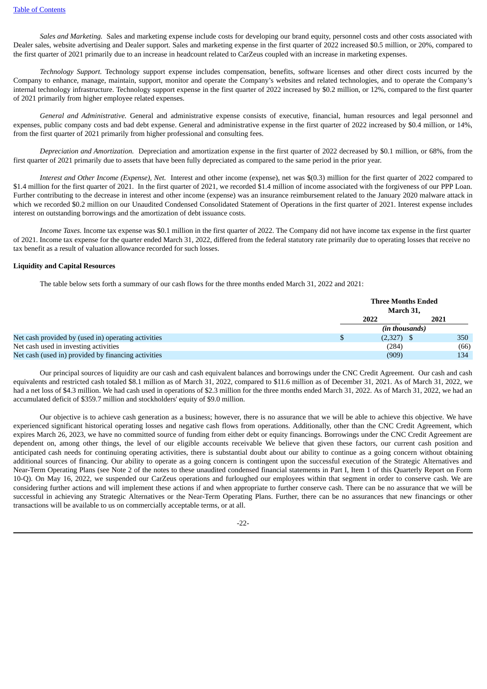*Sales and Marketing.* Sales and marketing expense include costs for developing our brand equity, personnel costs and other costs associated with Dealer sales, website advertising and Dealer support. Sales and marketing expense in the first quarter of 2022 increased \$0.5 million, or 20%, compared to the first quarter of 2021 primarily due to an increase in headcount related to CarZeus coupled with an increase in marketing expenses.

*Technology Support.* Technology support expense includes compensation, benefits, software licenses and other direct costs incurred by the Company to enhance, manage, maintain, support, monitor and operate the Company's websites and related technologies, and to operate the Company's internal technology infrastructure. Technology support expense in the first quarter of 2022 increased by \$0.2 million, or 12%, compared to the first quarter of 2021 primarily from higher employee related expenses.

*General and Administrative.* General and administrative expense consists of executive, financial, human resources and legal personnel and expenses, public company costs and bad debt expense. General and administrative expense in the first quarter of 2022 increased by \$0.4 million, or 14%, from the first quarter of 2021 primarily from higher professional and consulting fees.

*Depreciation and Amortization.* Depreciation and amortization expense in the first quarter of 2022 decreased by \$0.1 million, or 68%, from the first quarter of 2021 primarily due to assets that have been fully depreciated as compared to the same period in the prior year.

*Interest and Other Income (Expense), Net.* Interest and other income (expense), net was \$(0.3) million for the first quarter of 2022 compared to \$1.4 million for the first quarter of 2021. In the first quarter of 2021, we recorded \$1.4 million of income associated with the forgiveness of our PPP Loan. Further contributing to the decrease in interest and other income (expense) was an insurance reimbursement related to the January 2020 malware attack in which we recorded \$0.2 million on our Unaudited Condensed Consolidated Statement of Operations in the first quarter of 2021. Interest expense includes interest on outstanding borrowings and the amortization of debt issuance costs.

*Income Taxes.* Income tax expense was \$0.1 million in the first quarter of 2022. The Company did not have income tax expense in the first quarter of 2021. Income tax expense for the quarter ended March 31, 2022, differed from the federal statutory rate primarily due to operating losses that receive no tax benefit as a result of valuation allowance recorded for such losses.

### **Liquidity and Capital Resources**

The table below sets forth a summary of our cash flows for the three months ended March 31, 2022 and 2021:

|                                                     | <b>Three Months Ended</b><br>March 31, |      |  |
|-----------------------------------------------------|----------------------------------------|------|--|
|                                                     | 2021<br>2022                           |      |  |
|                                                     | (in thousands)                         |      |  |
| Net cash provided by (used in) operating activities | $(2,327)$ \$                           | 350  |  |
| Net cash used in investing activities               | (284)                                  | (66) |  |
| Net cash (used in) provided by financing activities | (909)                                  | 134  |  |

Our principal sources of liquidity are our cash and cash equivalent balances and borrowings under the CNC Credit Agreement. Our cash and cash equivalents and restricted cash totaled \$8.1 million as of March 31, 2022, compared to \$11.6 million as of December 31, 2021. As of March 31, 2022, we had a net loss of \$4.3 million. We had cash used in operations of \$2.3 million for the three months ended March 31, 2022. As of March 31, 2022, we had an accumulated deficit of \$359.7 million and stockholders' equity of \$9.0 million.

Our objective is to achieve cash generation as a business; however, there is no assurance that we will be able to achieve this objective. We have experienced significant historical operating losses and negative cash flows from operations. Additionally, other than the CNC Credit Agreement, which expires March 26, 2023, we have no committed source of funding from either debt or equity financings. Borrowings under the CNC Credit Agreement are dependent on, among other things, the level of our eligible accounts receivable We believe that given these factors, our current cash position and anticipated cash needs for continuing operating activities, there is substantial doubt about our ability to continue as a going concern without obtaining additional sources of financing. Our ability to operate as a going concern is contingent upon the successful execution of the Strategic Alternatives and Near-Term Operating Plans (see Note 2 of the notes to these unaudited condensed financial statements in Part I, Item 1 of this Quarterly Report on Form 10-Q). On May 16, 2022, we suspended our CarZeus operations and furloughed our employees within that segment in order to conserve cash. We are considering further actions and will implement these actions if and when appropriate to further conserve cash. There can be no assurance that we will be successful in achieving any Strategic Alternatives or the Near-Term Operating Plans. Further, there can be no assurances that new financings or other transactions will be available to us on commercially acceptable terms, or at all.

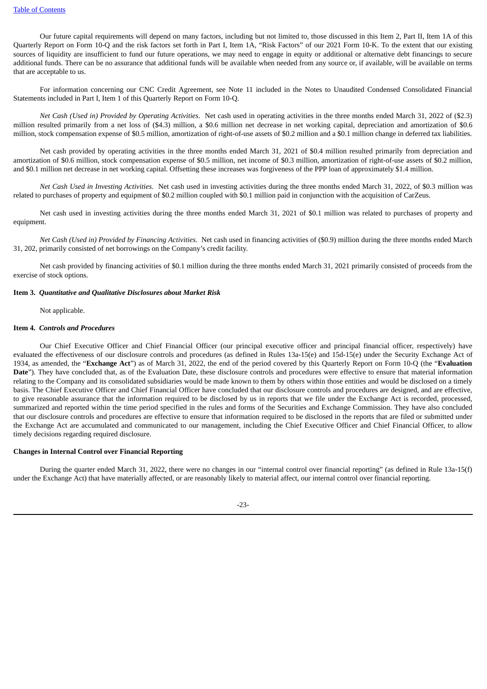Our future capital requirements will depend on many factors, including but not limited to, those discussed in this Item 2, Part II, Item 1A of this Quarterly Report on Form 10-Q and the risk factors set forth in Part I, Item 1A, "Risk Factors" of our 2021 Form 10-K. To the extent that our existing sources of liquidity are insufficient to fund our future operations, we may need to engage in equity or additional or alternative debt financings to secure additional funds. There can be no assurance that additional funds will be available when needed from any source or, if available, will be available on terms that are acceptable to us.

For information concerning our CNC Credit Agreement, see Note 11 included in the Notes to Unaudited Condensed Consolidated Financial Statements included in Part I, Item 1 of this Quarterly Report on Form 10-Q.

*Net Cash (Used in) Provided by Operating Activities*. Net cash used in operating activities in the three months ended March 31, 2022 of (\$2.3) million resulted primarily from a net loss of (\$4.3) million, a \$0.6 million net decrease in net working capital, depreciation and amortization of \$0.6 million, stock compensation expense of \$0.5 million, amortization of right-of-use assets of \$0.2 million and a \$0.1 million change in deferred tax liabilities.

Net cash provided by operating activities in the three months ended March 31, 2021 of \$0.4 million resulted primarily from depreciation and amortization of \$0.6 million, stock compensation expense of \$0.5 million, net income of \$0.3 million, amortization of right-of-use assets of \$0.2 million, and \$0.1 million net decrease in net working capital. Offsetting these increases was forgiveness of the PPP loan of approximately \$1.4 million.

*Net Cash Used in Investing Activities*. Net cash used in investing activities during the three months ended March 31, 2022, of \$0.3 million was related to purchases of property and equipment of \$0.2 million coupled with \$0.1 million paid in conjunction with the acquisition of CarZeus.

Net cash used in investing activities during the three months ended March 31, 2021 of \$0.1 million was related to purchases of property and equipment.

*Net Cash (Used in) Provided by Financing Activities*. Net cash used in financing activities of (\$0.9) million during the three months ended March 31, 202, primarily consisted of net borrowings on the Company's credit facility.

Net cash provided by financing activities of \$0.1 million during the three months ended March 31, 2021 primarily consisted of proceeds from the exercise of stock options.

### <span id="page-25-0"></span>**Item 3.** *Quantitative and Qualitative Disclosures about Market Risk*

Not applicable.

### **Item 4.** *Controls and Procedures*

Our Chief Executive Officer and Chief Financial Officer (our principal executive officer and principal financial officer, respectively) have evaluated the effectiveness of our disclosure controls and procedures (as defined in Rules 13a-15(e) and 15d-15(e) under the Security Exchange Act of 1934, as amended, the "**Exchange Act**") as of March 31, 2022, the end of the period covered by this Quarterly Report on Form 10-Q (the "**Evaluation Date**"). They have concluded that, as of the Evaluation Date, these disclosure controls and procedures were effective to ensure that material information relating to the Company and its consolidated subsidiaries would be made known to them by others within those entities and would be disclosed on a timely basis. The Chief Executive Officer and Chief Financial Officer have concluded that our disclosure controls and procedures are designed, and are effective, to give reasonable assurance that the information required to be disclosed by us in reports that we file under the Exchange Act is recorded, processed, summarized and reported within the time period specified in the rules and forms of the Securities and Exchange Commission. They have also concluded that our disclosure controls and procedures are effective to ensure that information required to be disclosed in the reports that are filed or submitted under the Exchange Act are accumulated and communicated to our management, including the Chief Executive Officer and Chief Financial Officer, to allow timely decisions regarding required disclosure.

### **Changes in Internal Control over Financial Reporting**

During the quarter ended March 31, 2022, there were no changes in our "internal control over financial reporting" (as defined in Rule 13a-15(f) under the Exchange Act) that have materially affected, or are reasonably likely to material affect, our internal control over financial reporting.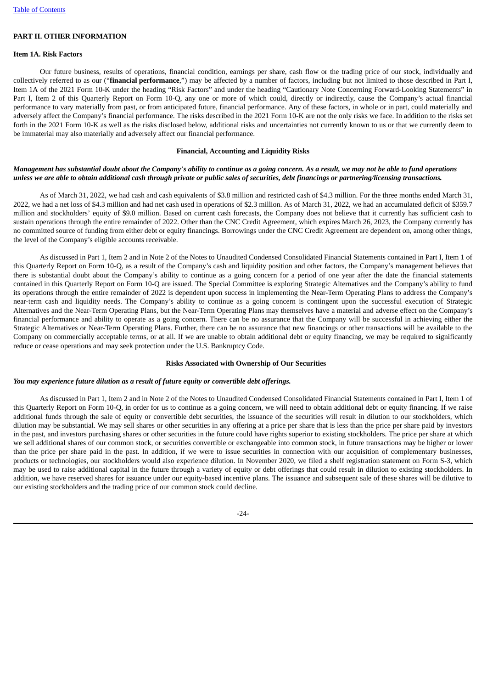# <span id="page-26-0"></span>**PART II. OTHER INFORMATION**

## **Item 1A. Risk Factors**

Our future business, results of operations, financial condition, earnings per share, cash flow or the trading price of our stock, individually and collectively referred to as our ("**financial performance**,") may be affected by a number of factors, including but not limited to those described in Part I, Item 1A of the 2021 Form 10-K under the heading "Risk Factors" and under the heading "Cautionary Note Concerning Forward-Looking Statements" in Part I, Item 2 of this Quarterly Report on Form 10-Q, any one or more of which could, directly or indirectly, cause the Company's actual financial performance to vary materially from past, or from anticipated future, financial performance. Any of these factors, in whole or in part, could materially and adversely affect the Company's financial performance. The risks described in the 2021 Form 10-K are not the only risks we face. In addition to the risks set forth in the 2021 Form 10-K as well as the risks disclosed below, additional risks and uncertainties not currently known to us or that we currently deem to be immaterial may also materially and adversely affect our financial performance.

### **Financial, Accounting and Liquidity Risks**

### Management has substantial doubt about the Company's ability to continue as a going concern. As a result, we may not be able to fund operations unless we are able to obtain additional cash through private or public sales of securities, debt financings or partnering/licensing transactions.

As of March 31, 2022, we had cash and cash equivalents of \$3.8 million and restricted cash of \$4.3 million. For the three months ended March 31, 2022, we had a net loss of \$4.3 million and had net cash used in operations of \$2.3 million. As of March 31, 2022, we had an accumulated deficit of \$359.7 million and stockholders' equity of \$9.0 million. Based on current cash forecasts, the Company does not believe that it currently has sufficient cash to sustain operations through the entire remainder of 2022. Other than the CNC Credit Agreement, which expires March 26, 2023, the Company currently has no committed source of funding from either debt or equity financings. Borrowings under the CNC Credit Agreement are dependent on, among other things, the level of the Company's eligible accounts receivable.

As discussed in Part 1, Item 2 and in Note 2 of the Notes to Unaudited Condensed Consolidated Financial Statements contained in Part I, Item 1 of this Quarterly Report on Form 10-Q, as a result of the Company's cash and liquidity position and other factors, the Company's management believes that there is substantial doubt about the Company's ability to continue as a going concern for a period of one year after the date the financial statements contained in this Quarterly Report on Form 10-Q are issued. The Special Committee is exploring Strategic Alternatives and the Company's ability to fund its operations through the entire remainder of 2022 is dependent upon success in implementing the Near-Term Operating Plans to address the Company's near-term cash and liquidity needs. The Company's ability to continue as a going concern is contingent upon the successful execution of Strategic Alternatives and the Near-Term Operating Plans, but the Near-Term Operating Plans may themselves have a material and adverse effect on the Company's financial performance and ability to operate as a going concern. There can be no assurance that the Company will be successful in achieving either the Strategic Alternatives or Near-Term Operating Plans. Further, there can be no assurance that new financings or other transactions will be available to the Company on commercially acceptable terms, or at all. If we are unable to obtain additional debt or equity financing, we may be required to significantly reduce or cease operations and may seek protection under the U.S. Bankruptcy Code.

## **Risks Associated with Ownership of Our Securities**

#### *You may experience future dilution as a result of future equity or convertible debt offerings.*

As discussed in Part 1, Item 2 and in Note 2 of the Notes to Unaudited Condensed Consolidated Financial Statements contained in Part I, Item 1 of this Quarterly Report on Form 10-Q, in order for us to continue as a going concern, we will need to obtain additional debt or equity financing. If we raise additional funds through the sale of equity or convertible debt securities, the issuance of the securities will result in dilution to our stockholders, which dilution may be substantial. We may sell shares or other securities in any offering at a price per share that is less than the price per share paid by investors in the past, and investors purchasing shares or other securities in the future could have rights superior to existing stockholders. The price per share at which we sell additional shares of our common stock, or securities convertible or exchangeable into common stock, in future transactions may be higher or lower than the price per share paid in the past. In addition, if we were to issue securities in connection with our acquisition of complementary businesses, products or technologies, our stockholders would also experience dilution. In November 2020, we filed a shelf registration statement on Form S-3, which may be used to raise additional capital in the future through a variety of equity or debt offerings that could result in dilution to existing stockholders. In addition, we have reserved shares for issuance under our equity-based incentive plans. The issuance and subsequent sale of these shares will be dilutive to our existing stockholders and the trading price of our common stock could decline.

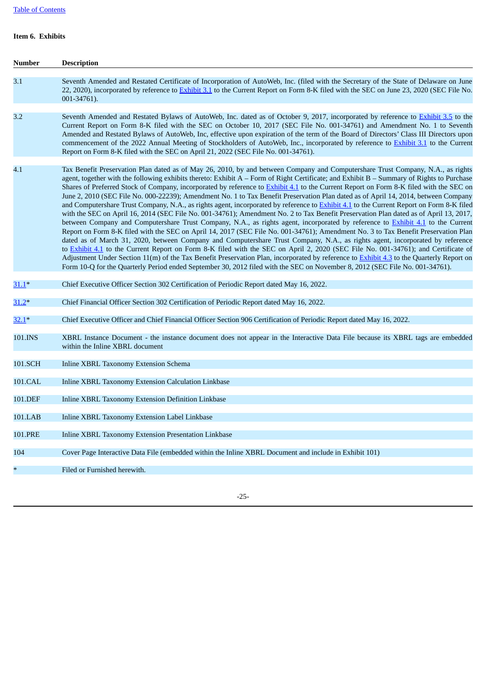# Table of [Contents](#page-1-0)

# <span id="page-27-0"></span>**Item 6. Exhibits**

| <b>Number</b> | <b>Description</b>                                                                                                                                                                                                                                                                                                                                                                                                                                                                                                                                                                                                                                                                                                                                                                                                                                                                                                                                                                                                                                                                                                                                                                                                                                                                                                                                                                                                                                                                                                                                                                                                                                                                                 |
|---------------|----------------------------------------------------------------------------------------------------------------------------------------------------------------------------------------------------------------------------------------------------------------------------------------------------------------------------------------------------------------------------------------------------------------------------------------------------------------------------------------------------------------------------------------------------------------------------------------------------------------------------------------------------------------------------------------------------------------------------------------------------------------------------------------------------------------------------------------------------------------------------------------------------------------------------------------------------------------------------------------------------------------------------------------------------------------------------------------------------------------------------------------------------------------------------------------------------------------------------------------------------------------------------------------------------------------------------------------------------------------------------------------------------------------------------------------------------------------------------------------------------------------------------------------------------------------------------------------------------------------------------------------------------------------------------------------------------|
| 3.1           | Seventh Amended and Restated Certificate of Incorporation of AutoWeb, Inc. (filed with the Secretary of the State of Delaware on June<br>22, 2020), incorporated by reference to Exhibit 3.1 to the Current Report on Form 8-K filed with the SEC on June 23, 2020 (SEC File No.<br>001-34761).                                                                                                                                                                                                                                                                                                                                                                                                                                                                                                                                                                                                                                                                                                                                                                                                                                                                                                                                                                                                                                                                                                                                                                                                                                                                                                                                                                                                    |
| 3.2           | Seventh Amended and Restated Bylaws of AutoWeb, Inc. dated as of October 9, 2017, incorporated by reference to Exhibit 3.5 to the<br>Current Report on Form 8-K filed with the SEC on October 10, 2017 (SEC File No. 001-34761) and Amendment No. 1 to Seventh<br>Amended and Restated Bylaws of AutoWeb, Inc, effective upon expiration of the term of the Board of Directors' Class III Directors upon<br>commencement of the 2022 Annual Meeting of Stockholders of AutoWeb, Inc., incorporated by reference to <b>Exhibit 3.1</b> to the Current<br>Report on Form 8-K filed with the SEC on April 21, 2022 (SEC File No. 001-34761).                                                                                                                                                                                                                                                                                                                                                                                                                                                                                                                                                                                                                                                                                                                                                                                                                                                                                                                                                                                                                                                          |
| 4.1           | Tax Benefit Preservation Plan dated as of May 26, 2010, by and between Company and Computershare Trust Company, N.A., as rights<br>agent, together with the following exhibits thereto: Exhibit A – Form of Right Certificate; and Exhibit B – Summary of Rights to Purchase<br>Shares of Preferred Stock of Company, incorporated by reference to <b>Exhibit 4.1</b> to the Current Report on Form 8-K filed with the SEC on<br>June 2, 2010 (SEC File No. 000-22239); Amendment No. 1 to Tax Benefit Preservation Plan dated as of April 14, 2014, between Company<br>and Computershare Trust Company, N.A., as rights agent, incorporated by reference to <b>Exhibit 4.1</b> to the Current Report on Form 8-K filed<br>with the SEC on April 16, 2014 (SEC File No. 001-34761); Amendment No. 2 to Tax Benefit Preservation Plan dated as of April 13, 2017,<br>between Company and Computershare Trust Company, N.A., as rights agent, incorporated by reference to <b>Exhibit 4.1</b> to the Current<br>Report on Form 8-K filed with the SEC on April 14, 2017 (SEC File No. 001-34761); Amendment No. 3 to Tax Benefit Preservation Plan<br>dated as of March 31, 2020, between Company and Computershare Trust Company, N.A., as rights agent, incorporated by reference<br>to Exhibit 4.1 to the Current Report on Form 8-K filed with the SEC on April 2, 2020 (SEC File No. 001-34761); and Certificate of<br>Adjustment Under Section 11(m) of the Tax Benefit Preservation Plan, incorporated by reference to Exhibit 4.3 to the Quarterly Report on<br>Form 10-Q for the Quarterly Period ended September 30, 2012 filed with the SEC on November 8, 2012 (SEC File No. 001-34761). |
| $31.1*$       | Chief Executive Officer Section 302 Certification of Periodic Report dated May 16, 2022.                                                                                                                                                                                                                                                                                                                                                                                                                                                                                                                                                                                                                                                                                                                                                                                                                                                                                                                                                                                                                                                                                                                                                                                                                                                                                                                                                                                                                                                                                                                                                                                                           |
| $31.2*$       | Chief Financial Officer Section 302 Certification of Periodic Report dated May 16, 2022.                                                                                                                                                                                                                                                                                                                                                                                                                                                                                                                                                                                                                                                                                                                                                                                                                                                                                                                                                                                                                                                                                                                                                                                                                                                                                                                                                                                                                                                                                                                                                                                                           |
| $32.1*$       | Chief Executive Officer and Chief Financial Officer Section 906 Certification of Periodic Report dated May 16, 2022.                                                                                                                                                                                                                                                                                                                                                                                                                                                                                                                                                                                                                                                                                                                                                                                                                                                                                                                                                                                                                                                                                                                                                                                                                                                                                                                                                                                                                                                                                                                                                                               |
| 101.INS       | XBRL Instance Document - the instance document does not appear in the Interactive Data File because its XBRL tags are embedded<br>within the Inline XBRL document                                                                                                                                                                                                                                                                                                                                                                                                                                                                                                                                                                                                                                                                                                                                                                                                                                                                                                                                                                                                                                                                                                                                                                                                                                                                                                                                                                                                                                                                                                                                  |
| 101.SCH       | Inline XBRL Taxonomy Extension Schema                                                                                                                                                                                                                                                                                                                                                                                                                                                                                                                                                                                                                                                                                                                                                                                                                                                                                                                                                                                                                                                                                                                                                                                                                                                                                                                                                                                                                                                                                                                                                                                                                                                              |
| 101.CAL       | Inline XBRL Taxonomy Extension Calculation Linkbase                                                                                                                                                                                                                                                                                                                                                                                                                                                                                                                                                                                                                                                                                                                                                                                                                                                                                                                                                                                                                                                                                                                                                                                                                                                                                                                                                                                                                                                                                                                                                                                                                                                |
| 101.DEF       | Inline XBRL Taxonomy Extension Definition Linkbase                                                                                                                                                                                                                                                                                                                                                                                                                                                                                                                                                                                                                                                                                                                                                                                                                                                                                                                                                                                                                                                                                                                                                                                                                                                                                                                                                                                                                                                                                                                                                                                                                                                 |
| 101.LAB       | Inline XBRL Taxonomy Extension Label Linkbase                                                                                                                                                                                                                                                                                                                                                                                                                                                                                                                                                                                                                                                                                                                                                                                                                                                                                                                                                                                                                                                                                                                                                                                                                                                                                                                                                                                                                                                                                                                                                                                                                                                      |
| 101.PRE       | Inline XBRL Taxonomy Extension Presentation Linkbase                                                                                                                                                                                                                                                                                                                                                                                                                                                                                                                                                                                                                                                                                                                                                                                                                                                                                                                                                                                                                                                                                                                                                                                                                                                                                                                                                                                                                                                                                                                                                                                                                                               |
| 104           | Cover Page Interactive Data File (embedded within the Inline XBRL Document and include in Exhibit 101)                                                                                                                                                                                                                                                                                                                                                                                                                                                                                                                                                                                                                                                                                                                                                                                                                                                                                                                                                                                                                                                                                                                                                                                                                                                                                                                                                                                                                                                                                                                                                                                             |
|               | Filed or Furnished herewith.                                                                                                                                                                                                                                                                                                                                                                                                                                                                                                                                                                                                                                                                                                                                                                                                                                                                                                                                                                                                                                                                                                                                                                                                                                                                                                                                                                                                                                                                                                                                                                                                                                                                       |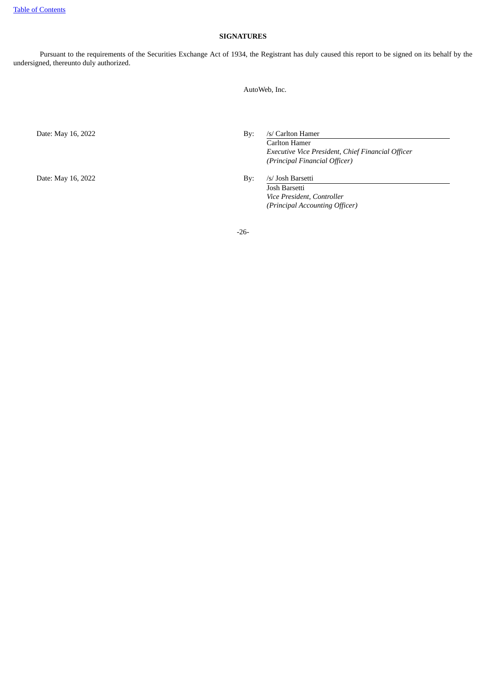## **SIGNATURES**

<span id="page-28-0"></span>Pursuant to the requirements of the Securities Exchange Act of 1934, the Registrant has duly caused this report to be signed on its behalf by the undersigned, thereunto duly authorized.

AutoWeb, Inc.

Date: May 16, 2022 By: /s/ Carlton Hamer

Carlton Hamer *Executive Vice President, Chief Financial Officer (Principal Financial Officer)*

Date: May 16, 2022 By: /s/ Josh Barsetti

Josh Barsetti *Vice President, Controller (Principal Accounting Officer)*

-26-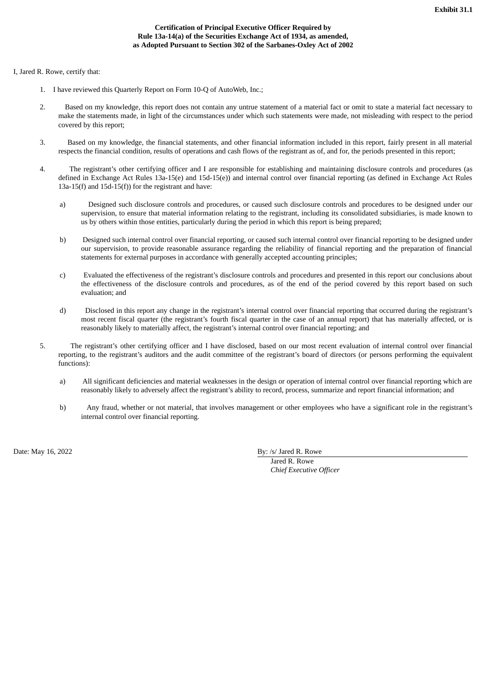## **Certification of Principal Executive Officer Required by Rule 13a-14(a) of the Securities Exchange Act of 1934, as amended, as Adopted Pursuant to Section 302 of the Sarbanes-Oxley Act of 2002**

<span id="page-29-0"></span>I, Jared R. Rowe, certify that:

- 1. I have reviewed this Quarterly Report on Form 10-Q of AutoWeb, Inc.;
- 2. Based on my knowledge, this report does not contain any untrue statement of a material fact or omit to state a material fact necessary to make the statements made, in light of the circumstances under which such statements were made, not misleading with respect to the period covered by this report;
- 3. Based on my knowledge, the financial statements, and other financial information included in this report, fairly present in all material respects the financial condition, results of operations and cash flows of the registrant as of, and for, the periods presented in this report;
- 4. The registrant's other certifying officer and I are responsible for establishing and maintaining disclosure controls and procedures (as defined in Exchange Act Rules 13a-15(e) and 15d-15(e)) and internal control over financial reporting (as defined in Exchange Act Rules 13a-15(f) and 15d-15(f)) for the registrant and have:
	- a) Designed such disclosure controls and procedures, or caused such disclosure controls and procedures to be designed under our supervision, to ensure that material information relating to the registrant, including its consolidated subsidiaries, is made known to us by others within those entities, particularly during the period in which this report is being prepared;
	- b) Designed such internal control over financial reporting, or caused such internal control over financial reporting to be designed under our supervision, to provide reasonable assurance regarding the reliability of financial reporting and the preparation of financial statements for external purposes in accordance with generally accepted accounting principles;
	- c) Evaluated the effectiveness of the registrant's disclosure controls and procedures and presented in this report our conclusions about the effectiveness of the disclosure controls and procedures, as of the end of the period covered by this report based on such evaluation; and
	- d) Disclosed in this report any change in the registrant's internal control over financial reporting that occurred during the registrant's most recent fiscal quarter (the registrant's fourth fiscal quarter in the case of an annual report) that has materially affected, or is reasonably likely to materially affect, the registrant's internal control over financial reporting; and
- 5. The registrant's other certifying officer and I have disclosed, based on our most recent evaluation of internal control over financial reporting, to the registrant's auditors and the audit committee of the registrant's board of directors (or persons performing the equivalent functions):
	- a) All significant deficiencies and material weaknesses in the design or operation of internal control over financial reporting which are reasonably likely to adversely affect the registrant's ability to record, process, summarize and report financial information; and
	- b) Any fraud, whether or not material, that involves management or other employees who have a significant role in the registrant's internal control over financial reporting.

Date: May 16, 2022 By: /s/ Jared R. Rowe

Jared R. Rowe *Chief Executive Officer*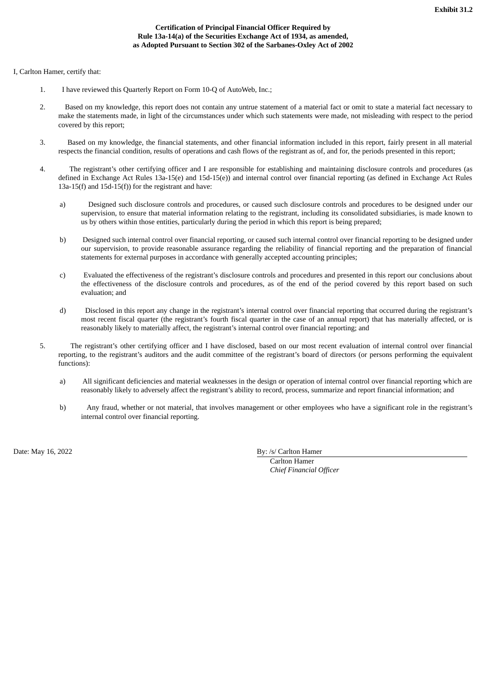## **Certification of Principal Financial Officer Required by Rule 13a-14(a) of the Securities Exchange Act of 1934, as amended, as Adopted Pursuant to Section 302 of the Sarbanes-Oxley Act of 2002**

<span id="page-30-0"></span>I, Carlton Hamer, certify that:

- 1. I have reviewed this Quarterly Report on Form 10-Q of AutoWeb, Inc.;
- 2. Based on my knowledge, this report does not contain any untrue statement of a material fact or omit to state a material fact necessary to make the statements made, in light of the circumstances under which such statements were made, not misleading with respect to the period covered by this report;
- 3. Based on my knowledge, the financial statements, and other financial information included in this report, fairly present in all material respects the financial condition, results of operations and cash flows of the registrant as of, and for, the periods presented in this report;
- 4. The registrant's other certifying officer and I are responsible for establishing and maintaining disclosure controls and procedures (as defined in Exchange Act Rules 13a-15(e) and 15d-15(e)) and internal control over financial reporting (as defined in Exchange Act Rules 13a-15(f) and 15d-15(f)) for the registrant and have:
	- a) Designed such disclosure controls and procedures, or caused such disclosure controls and procedures to be designed under our supervision, to ensure that material information relating to the registrant, including its consolidated subsidiaries, is made known to us by others within those entities, particularly during the period in which this report is being prepared;
	- b) Designed such internal control over financial reporting, or caused such internal control over financial reporting to be designed under our supervision, to provide reasonable assurance regarding the reliability of financial reporting and the preparation of financial statements for external purposes in accordance with generally accepted accounting principles;
	- c) Evaluated the effectiveness of the registrant's disclosure controls and procedures and presented in this report our conclusions about the effectiveness of the disclosure controls and procedures, as of the end of the period covered by this report based on such evaluation; and
	- d) Disclosed in this report any change in the registrant's internal control over financial reporting that occurred during the registrant's most recent fiscal quarter (the registrant's fourth fiscal quarter in the case of an annual report) that has materially affected, or is reasonably likely to materially affect, the registrant's internal control over financial reporting; and
- 5. The registrant's other certifying officer and I have disclosed, based on our most recent evaluation of internal control over financial reporting, to the registrant's auditors and the audit committee of the registrant's board of directors (or persons performing the equivalent functions):
	- a) All significant deficiencies and material weaknesses in the design or operation of internal control over financial reporting which are reasonably likely to adversely affect the registrant's ability to record, process, summarize and report financial information; and
	- b) Any fraud, whether or not material, that involves management or other employees who have a significant role in the registrant's internal control over financial reporting.

Date: May 16, 2022 By: /s/ Carlton Hamer

Carlton Hamer *Chief Financial Officer*